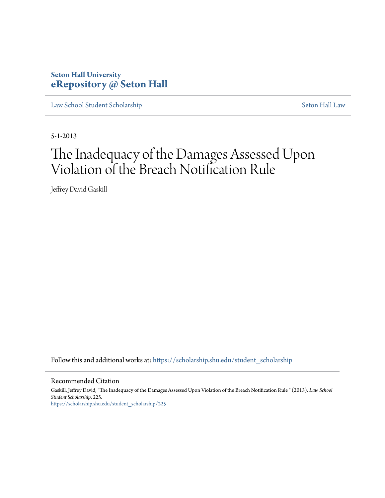# **Seton Hall University [eRepository @ Seton Hall](https://scholarship.shu.edu?utm_source=scholarship.shu.edu%2Fstudent_scholarship%2F225&utm_medium=PDF&utm_campaign=PDFCoverPages)**

[Law School Student Scholarship](https://scholarship.shu.edu/student_scholarship?utm_source=scholarship.shu.edu%2Fstudent_scholarship%2F225&utm_medium=PDF&utm_campaign=PDFCoverPages) [Seton Hall Law](https://scholarship.shu.edu/law?utm_source=scholarship.shu.edu%2Fstudent_scholarship%2F225&utm_medium=PDF&utm_campaign=PDFCoverPages)

5-1-2013

# The Inadequacy of the Damages Assessed Upon Violation of the Breach Notification Rule

Jeffrey David Gaskill

Follow this and additional works at: [https://scholarship.shu.edu/student\\_scholarship](https://scholarship.shu.edu/student_scholarship?utm_source=scholarship.shu.edu%2Fstudent_scholarship%2F225&utm_medium=PDF&utm_campaign=PDFCoverPages)

#### Recommended Citation

Gaskill, Jeffrey David, "The Inadequacy of the Damages Assessed Upon Violation of the Breach Notification Rule " (2013). *Law School Student Scholarship*. 225. [https://scholarship.shu.edu/student\\_scholarship/225](https://scholarship.shu.edu/student_scholarship/225?utm_source=scholarship.shu.edu%2Fstudent_scholarship%2F225&utm_medium=PDF&utm_campaign=PDFCoverPages)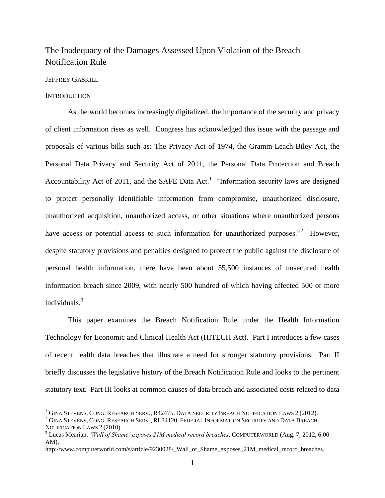# The Inadequacy of the Damages Assessed Upon Violation of the Breach Notification Rule

# JEFFREY GASKILL

#### **INTRODUCTION**

 $\overline{\phantom{a}}$ 

As the world becomes increasingly digitalized, the importance of the security and privacy of client information rises as well. Congress has acknowledged this issue with the passage and proposals of various bills such as: The Privacy Act of 1974, the Gramm-Leach-Biley Act, the Personal Data Privacy and Security Act of 2011, the Personal Data Protection and Breach Accountability Act of 2011, and the SAFE Data Act.<sup>1</sup> "Information security laws are designed to protect personally identifiable information from compromise, unauthorized disclosure, unauthorized acquisition, unauthorized access, or other situations where unauthorized persons have access or potential access to such information for unauthorized purposes.<sup>32</sup> However, despite statutory provisions and penalties designed to protect the public against the disclosure of personal health information, there have been about 55,500 instances of unsecured health information breach since 2009, with nearly 500 hundred of which having affected 500 or more individuals.<sup>3</sup>

This paper examines the Breach Notification Rule under the Health Information Technology for Economic and Clinical Health Act (HITECH Act). Part I introduces a few cases of recent health data breaches that illustrate a need for stronger statutory provisions. Part II briefly discusses the legislative history of the Breach Notification Rule and looks to the pertinent statutory text. Part III looks at common causes of data breach and associated costs related to data

 $^1$  Gina Stevens, Cong. Research Serv., R42475, Data Security Breach Notification Laws 2 (2012).

 $^{2}$  GINA STEVENS, CONG. RESEARCH SERV., RL34120, FEDERAL INFORMATION SECURITY AND DATA BREACH NOTIFICATION LAWS 2 (2010).

<sup>3</sup> Lucas Mearian, *'Wall of Shame' exposes 21M medical record breaches*, COMPUTERWORLD (Aug. 7, 2012, 6:00 AM),

http://www.computerworld.com/s/article/9230028/\_Wall\_of\_Shame\_exposes\_21M\_medical\_record\_breaches.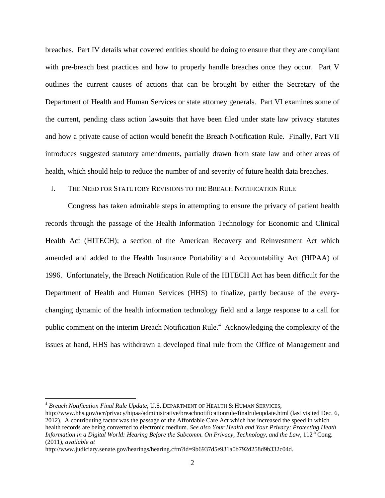breaches. Part IV details what covered entities should be doing to ensure that they are compliant with pre-breach best practices and how to properly handle breaches once they occur. Part V outlines the current causes of actions that can be brought by either the Secretary of the Department of Health and Human Services or state attorney generals. Part VI examines some of the current, pending class action lawsuits that have been filed under state law privacy statutes and how a private cause of action would benefit the Breach Notification Rule. Finally, Part VII introduces suggested statutory amendments, partially drawn from state law and other areas of health, which should help to reduce the number of and severity of future health data breaches.

#### I. THE NEED FOR STATUTORY REVISIONS TO THE BREACH NOTIFICATION RULE

Congress has taken admirable steps in attempting to ensure the privacy of patient health records through the passage of the Health Information Technology for Economic and Clinical Health Act (HITECH); a section of the American Recovery and Reinvestment Act which amended and added to the Health Insurance Portability and Accountability Act (HIPAA) of 1996. Unfortunately, the Breach Notification Rule of the HITECH Act has been difficult for the Department of Health and Human Services (HHS) to finalize, partly because of the everychanging dynamic of the health information technology field and a large response to a call for public comment on the interim Breach Notification Rule.<sup>4</sup> Acknowledging the complexity of the issues at hand, HHS has withdrawn a developed final rule from the Office of Management and

<sup>4</sup> *Breach Notification Final Rule Update*, U.S. DEPARTMENT OF HEALTH & HUMAN SERVICES,

http://www.hhs.gov/ocr/privacy/hipaa/administrative/breachnotificationrule/finalruleupdate.html (last visited Dec. 6, 2012). A contributing factor was the passage of the Affordable Care Act which has increased the speed in which health records are being converted to electronic medium. *See also Your Health and Your Privacy: Protecting Heath Information in a Digital World: Hearing Before the Subcomm. On Privacy, Technology, and the Law*, 112<sup>th</sup> Cong. (2011), *available at* 

http://www.judiciary.senate.gov/hearings/hearing.cfm?id=9b6937d5e931a0b792d258d9b332c04d.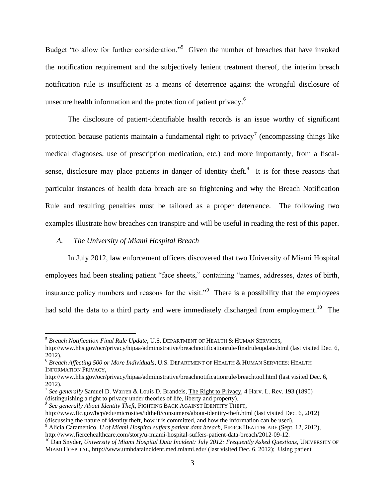Budget "to allow for further consideration."<sup>5</sup> Given the number of breaches that have invoked the notification requirement and the subjectively lenient treatment thereof, the interim breach notification rule is insufficient as a means of deterrence against the wrongful disclosure of unsecure health information and the protection of patient privacy.<sup>6</sup>

The disclosure of patient-identifiable health records is an issue worthy of significant protection because patients maintain a fundamental right to privacy<sup>7</sup> (encompassing things like medical diagnoses, use of prescription medication, etc.) and more importantly, from a fiscalsense, disclosure may place patients in danger of identity theft. $8$  It is for these reasons that particular instances of health data breach are so frightening and why the Breach Notification Rule and resulting penalties must be tailored as a proper deterrence. The following two examples illustrate how breaches can transpire and will be useful in reading the rest of this paper.

#### *A. The University of Miami Hospital Breach*

 $\overline{\phantom{a}}$ 

In July 2012, law enforcement officers discovered that two University of Miami Hospital employees had been stealing patient "face sheets," containing "names, addresses, dates of birth, insurance policy numbers and reasons for the visit."<sup>9</sup> There is a possibility that the employees had sold the data to a third party and were immediately discharged from employment.<sup>10</sup> The

8 *See generally About Identity Theft*, FIGHTING BACK AGAINST IDENTITY THEFT,

<sup>5</sup> *Breach Notification Final Rule Update*, U.S. DEPARTMENT OF HEALTH & HUMAN SERVICES, http://www.hhs.gov/ocr/privacy/hipaa/administrative/breachnotificationrule/finalruleupdate.html (last visited Dec. 6, 2012).

<sup>6</sup> *Breach Affecting 500 or More Individuals*, U.S. DEPARTMENT OF HEALTH & HUMAN SERVICES: HEALTH INFORMATION PRIVACY,

http://www.hhs.gov/ocr/privacy/hipaa/administrative/breachnotificationrule/breachtool.html (last visited Dec. 6, 2012).

<sup>&</sup>lt;sup>7</sup> See generally Samuel D. Warren & Louis D. Brandeis, The Right to Privacy, 4 Harv. L. Rev. 193 (1890) (distinguishing a right to privacy under theories of life, liberty and property).

http://www.ftc.gov/bcp/edu/microsites/idtheft/consumers/about-identity-theft.html (last visited Dec. 6, 2012) (discussing the nature of identity theft, how it is committed, and how the information can be used).

<sup>9</sup> Alicia Caramenico, *U of Miami Hospital suffers patient data breach*, FIERCE HEALTHCARE (Sept. 12, 2012), http://www.fiercehealthcare.com/story/u-miami-hospital-suffers-patient-data-breach/2012-09-12.

<sup>10</sup> Dan Snyder, *University of Miami Hospital Data Incident: July 2012: Frequently Asked Questions*, UNIVERSITY OF MIAMI HOSPITAL, http://www.umhdataincident.med.miami.edu/ (last visited Dec. 6, 2012); Using patient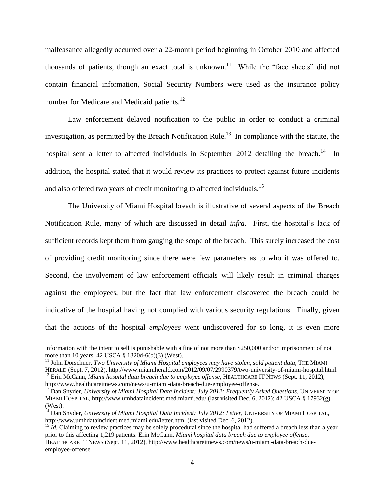malfeasance allegedly occurred over a 22-month period beginning in October 2010 and affected thousands of patients, though an exact total is unknown.<sup>11</sup> While the "face sheets" did not contain financial information, Social Security Numbers were used as the insurance policy number for Medicare and Medicaid patients.<sup>12</sup>

Law enforcement delayed notification to the public in order to conduct a criminal investigation, as permitted by the Breach Notification Rule.<sup>13</sup> In compliance with the statute, the hospital sent a letter to affected individuals in September 2012 detailing the breach.<sup>14</sup> In addition, the hospital stated that it would review its practices to protect against future incidents and also offered two years of credit monitoring to affected individuals.<sup>15</sup>

The University of Miami Hospital breach is illustrative of several aspects of the Breach Notification Rule, many of which are discussed in detail *infra*. First, the hospital's lack of sufficient records kept them from gauging the scope of the breach. This surely increased the cost of providing credit monitoring since there were few parameters as to who it was offered to. Second, the involvement of law enforcement officials will likely result in criminal charges against the employees, but the fact that law enforcement discovered the breach could be indicative of the hospital having not complied with various security regulations. Finally, given that the actions of the hospital *employees* went undiscovered for so long, it is even more

information with the intent to sell is punishable with a fine of not more than \$250,000 and/or imprisonment of not more than 10 years. 42 USCA § 1320d-6(b)(3) (West).

<sup>&</sup>lt;sup>11</sup> John Dorschner, *Two University of Miami Hospital employees may have stolen, sold patient data*, THE MIAMI HERALD (Sept. 7, 2012), http://www.miamiherald.com/2012/09/07/2990379/two-university-of-miami-hospital.html. <sup>12</sup> Erin McCann, *Miami hospital data breach due to employee offense*, HEALTHCARE IT NEWS (Sept. 11, 2012), http://www.healthcareitnews.com/news/u-miami-data-breach-due-employee-offense.

<sup>&</sup>lt;sup>13</sup> Dan Snyder, *University of Miami Hospital Data Incident: July 2012: Frequently Asked Questions*, UNIVERSITY OF MIAMI HOSPITAL, http://www.umhdataincident.med.miami.edu/ (last visited Dec. 6, 2012); 42 USCA § 17932(g) (West).

<sup>14</sup> Dan Snyder, *University of Miami Hospital Data Incident: July 2012: Letter*, UNIVERSITY OF MIAMI HOSPITAL, http://www.umhdataincident.med.miami.edu/letter.html (last visited Dec. 6, 2012).

<sup>&</sup>lt;sup>15</sup> *Id.* Claiming to review practices may be solely procedural since the hospital had suffered a breach less than a year prior to this affecting 1,219 patients. Erin McCann, *Miami hospital data breach due to employee offense*, HEALTHCARE IT NEWS (Sept. 11, 2012), http://www.healthcareitnews.com/news/u-miami-data-breach-dueemployee-offense.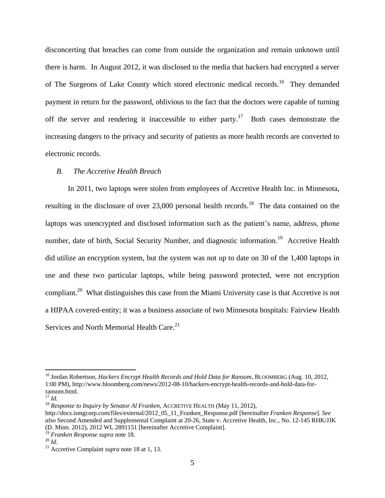disconcerting that breaches can come from outside the organization and remain unknown until there is harm. In August 2012, it was disclosed to the media that hackers had encrypted a server of The Surgeons of Lake County which stored electronic medical records.<sup>16</sup> They demanded payment in return for the password, oblivious to the fact that the doctors were capable of turning off the server and rendering it inaccessible to either party.<sup>17</sup> Both cases demonstrate the increasing dangers to the privacy and security of patients as more health records are converted to electronic records.

#### <span id="page-5-0"></span>*B. The Accretive Health Breach*

In 2011, two laptops were stolen from employees of Accretive Health Inc. in Minnesota, resulting in the disclosure of over 23,000 personal health records.<sup>18</sup> The data contained on the laptops was unencrypted and disclosed information such as the patient's name, address, phone number, date of birth, Social Security Number, and diagnostic information.<sup>19</sup> Accretive Health did utilize an encryption system, but the system was not up to date on 30 of the 1,400 laptops in use and these two particular laptops, while being password protected, were not encryption compliant.<sup>20</sup> What distinguishes this case from the Miami University case is that Accretive is not a HIPAA covered-entity; it was a business associate of two Minnesota hospitals: Fairview Health Services and North Memorial Health Care.<sup>21</sup>

<sup>16</sup> Jordan Robertson, *Hackers Encrypt Health Records and Hold Data for Ransom*, BLOOMBERG (Aug. 10, 2012, 1:00 PM), http://www.bloomberg.com/news/2012-08-10/hackers-encrypt-health-records-and-hold-data-forransom.html.

<sup>17</sup> *Id.*

<sup>&</sup>lt;sup>18</sup> Response to Inquiry by Senator Al Franken, ACCRETIVE HEALTH (May 11, 2012),

http://docs.ismgcorp.com/files/external/2012\_05\_11\_Franken\_Response.pdf [hereinafter *Franken Response*]. *See also* Second Amended and Supplemental Complaint at 20-26, State v. Accretive Health, Inc., No. 12-145 RHK/JJK (D. Minn. 2012), 2012 WL 2891151 [hereinafter Accretive Complaint].

<sup>19</sup> *Franken Response supra* not[e 18.](#page-5-0)

<sup>20</sup> *Id.*

<sup>21</sup> Accretive Complaint *supra* note [18](#page-5-0) at 1, 13.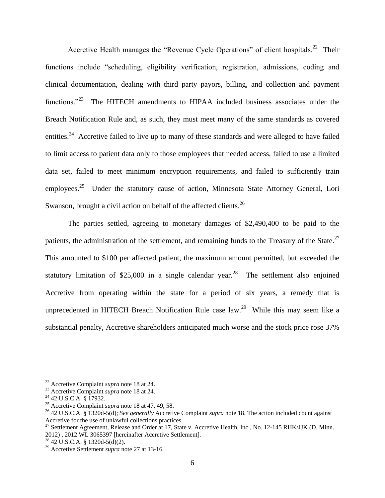Accretive Health manages the "Revenue Cycle Operations" of client hospitals.<sup>22</sup> Their functions include "scheduling, eligibility verification, registration, admissions, coding and clinical documentation, dealing with third party payors, billing, and collection and payment functions."<sup>23</sup> The HITECH amendments to HIPAA included business associates under the Breach Notification Rule and, as such, they must meet many of the same standards as covered entities.<sup>24</sup> Accretive failed to live up to many of these standards and were alleged to have failed to limit access to patient data only to those employees that needed access, failed to use a limited data set, failed to meet minimum encryption requirements, and failed to sufficiently train employees.<sup>25</sup> Under the statutory cause of action, Minnesota State Attorney General, Lori Swanson, brought a civil action on behalf of the affected clients.<sup>26</sup>

<span id="page-6-0"></span>The parties settled, agreeing to monetary damages of \$2,490,400 to be paid to the patients, the administration of the settlement, and remaining funds to the Treasury of the State. $^{27}$ This amounted to \$100 per affected patient, the maximum amount permitted, but exceeded the statutory limitation of \$25,000 in a single calendar year.<sup>28</sup> The settlement also enjoined Accretive from operating within the state for a period of six years, a remedy that is unprecedented in HITECH Breach Notification Rule case  $law.^{29}$  While this may seem like a substantial penalty, Accretive shareholders anticipated much worse and the stock price rose 37%

<sup>22</sup> Accretive Complaint *supra* note [18](#page-5-0) at 24.

<sup>23</sup> Accretive Complaint *supra* note [18](#page-5-0) at 24.

<sup>&</sup>lt;sup>24</sup> 42 U.S.C.A. § 17932.

<sup>25</sup> Accretive Complaint *supra* note [18](#page-5-0) at 47, 49, 58.

<sup>26</sup> 42 U.S.C.A. § 1320d-5(d); *See generally* Accretive Complaint *supra* note [18.](#page-5-0) The action included count against Accretive for the use of unlawful collections practices.

<sup>&</sup>lt;sup>27</sup> Settlement Agreement, Release and Order at 17, State v. Accretive Health, Inc., No. 12-145 RHK/JJK (D. Minn. 2012) , 2012 WL 3065397 [hereinafter Accretive Settlement].

 $^{28}$  42 U.S.C.A. § 1320d-5(d)(2).

<sup>29</sup> Accretive Settlement *supra* not[e 27](#page-6-0) at 13-16.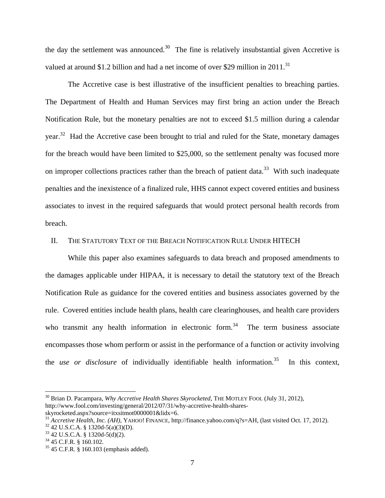the day the settlement was announced.<sup>30</sup> The fine is relatively insubstantial given Accretive is valued at around \$1.2 billion and had a net income of over \$29 million in 2011.<sup>31</sup>

The Accretive case is best illustrative of the insufficient penalties to breaching parties. The Department of Health and Human Services may first bring an action under the Breach Notification Rule, but the monetary penalties are not to exceed \$1.5 million during a calendar year.<sup>32</sup> Had the Accretive case been brought to trial and ruled for the State, monetary damages for the breach would have been limited to \$25,000, so the settlement penalty was focused more on improper collections practices rather than the breach of patient data.<sup>33</sup> With such inadequate penalties and the inexistence of a finalized rule, HHS cannot expect covered entities and business associates to invest in the required safeguards that would protect personal health records from breach.

#### II. THE STATUTORY TEXT OF THE BREACH NOTIFICATION RULE UNDER HITECH

While this paper also examines safeguards to data breach and proposed amendments to the damages applicable under HIPAA, it is necessary to detail the statutory text of the Breach Notification Rule as guidance for the covered entities and business associates governed by the rule. Covered entities include health plans, health care clearinghouses, and health care providers who transmit any health information in electronic form.<sup>34</sup> The term business associate encompasses those whom perform or assist in the performance of a function or activity involving the *use or disclosure* of individually identifiable health information.<sup>35</sup> In this context,

<sup>30</sup> Brian D. Pacampara, *Why Accretive Health Shares Skyrocketed*, THE MOTLEY FOOL (July 31, 2012), http://www.fool.com/investing/general/2012/07/31/why-accretive-health-shares-

skyrocketed.aspx?source=itxsitmot0000001&lidx=6.

<sup>&</sup>lt;sup>31</sup> *Accretive Health, Inc. (AH), YAHOO!* FINANCE, http://finance.yahoo.com/q?s=AH, (last visited Oct. 17, 2012).

 $32$  42 U.S.C.A. § 1320d-5(a)(3)(D).

 $33$  42 U.S.C.A. § 1320d-5(d)(2).

<sup>34</sup> 45 C.F.R. § 160.102.

<sup>35</sup> 45 C.F.R. § 160.103 (emphasis added).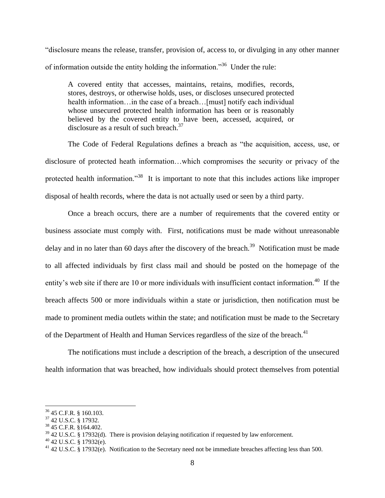"disclosure means the release, transfer, provision of, access to, or divulging in any other manner of information outside the entity holding the information."<sup>36</sup> Under the rule:

A covered entity that accesses, maintains, retains, modifies, records, stores, destroys, or otherwise holds, uses, or discloses unsecured protected health information…in the case of a breach…[must] notify each individual whose unsecured protected health information has been or is reasonably believed by the covered entity to have been, accessed, acquired, or disclosure as a result of such breach. 37

The Code of Federal Regulations defines a breach as "the acquisition, access, use, or disclosure of protected heath information…which compromises the security or privacy of the protected health information.<sup>33</sup> It is important to note that this includes actions like improper disposal of health records, where the data is not actually used or seen by a third party.

Once a breach occurs, there are a number of requirements that the covered entity or business associate must comply with. First, notifications must be made without unreasonable delay and in no later than 60 days after the discovery of the breach.<sup>39</sup> Notification must be made to all affected individuals by first class mail and should be posted on the homepage of the entity's web site if there are 10 or more individuals with insufficient contact information.<sup>40</sup> If the breach affects 500 or more individuals within a state or jurisdiction, then notification must be made to prominent media outlets within the state; and notification must be made to the Secretary of the Department of Health and Human Services regardless of the size of the breach.<sup>41</sup>

The notifications must include a description of the breach, a description of the unsecured health information that was breached, how individuals should protect themselves from potential

 $36$  45 C.F.R. § 160.103.

<sup>37</sup> 42 U.S.C. § 17932.

<sup>38</sup> 45 C.F.R. §164.402.

 $39$  42 U.S.C. § 17932(d). There is provision delaying notification if requested by law enforcement.

 $40$  42 U.S.C. § 17932(e).

<sup>&</sup>lt;sup>41</sup> 42 U.S.C. § 17932(e). Notification to the Secretary need not be immediate breaches affecting less than 500.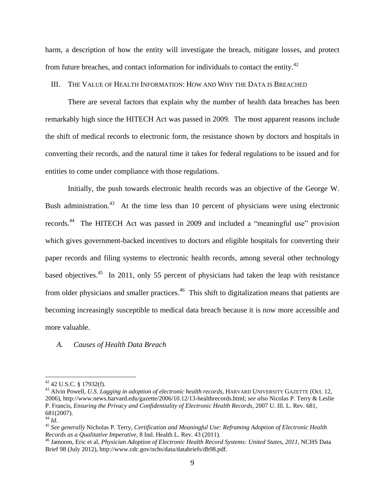harm, a description of how the entity will investigate the breach, mitigate losses, and protect from future breaches, and contact information for individuals to contact the entity. $42$ 

#### III. THE VALUE OF HEALTH INFORMATION: HOW AND WHY THE DATA IS BREACHED

There are several factors that explain why the number of health data breaches has been remarkably high since the HITECH Act was passed in 2009. The most apparent reasons include the shift of medical records to electronic form, the resistance shown by doctors and hospitals in converting their records, and the natural time it takes for federal regulations to be issued and for entities to come under compliance with those regulations.

Initially, the push towards electronic health records was an objective of the George W. Bush administration.<sup>43</sup> At the time less than 10 percent of physicians were using electronic records.<sup>44</sup> The HITECH Act was passed in 2009 and included a "meaningful use" provision which gives government-backed incentives to doctors and eligible hospitals for converting their paper records and filing systems to electronic health records, among several other technology based objectives.<sup>45</sup> In 2011, only 55 percent of physicians had taken the leap with resistance from older physicians and smaller practices.<sup>46</sup> This shift to digitalization means that patients are becoming increasingly susceptible to medical data breach because it is now more accessible and more valuable.

#### *A. Causes of Health Data Breach*

 $42$  U.S.C. § 17932(f).

<sup>43</sup> Alvin Powell, *U.S. Lagging in adoption of electronic health records*, HARVARD UNIVERSITY GAZETTE (Oct. 12, 2006), http://www.news.harvard.edu/gazette/2006/10.12/13-healthrecords.html; *see also* Nicolas P. Terry & Leslie P. Francis, *Ensuring the Privacy and Confidentiality of Electronic Health Records*, 2007 U. Ill. L. Rev. 681, 681(2007).

<sup>44</sup> *Id.*

<sup>45</sup> *See generally* Nicholas P. Terry, *Certification and Meaningful Use: Reframing Adoption of Electronic Health Records as a Qualitative Imperative*, 8 Ind. Health L. Rev. 43 (2011).

<sup>46</sup> Jamoom, Eric et al, *Physician Adoption of Electronic Health Record Systems: United States, 2011*, NCHS Data Brief 98 (July 2012), http://www.cdc.gov/nchs/data/databriefs/db98.pdf.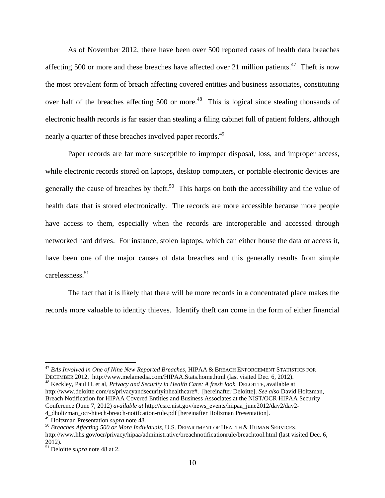<span id="page-10-0"></span>As of November 2012, there have been over 500 reported cases of health data breaches affecting 500 or more and these breaches have affected over 21 million patients.<sup>47</sup> Theft is now the most prevalent form of breach affecting covered entities and business associates, constituting over half of the breaches affecting 500 or more.<sup>48</sup> This is logical since stealing thousands of electronic health records is far easier than stealing a filing cabinet full of patient folders, although nearly a quarter of these breaches involved paper records.<sup>49</sup>

Paper records are far more susceptible to improper disposal, loss, and improper access, while electronic records stored on laptops, desktop computers, or portable electronic devices are generally the cause of breaches by theft.<sup>50</sup> This harps on both the accessibility and the value of health data that is stored electronically. The records are more accessible because more people have access to them, especially when the records are interoperable and accessed through networked hard drives. For instance, stolen laptops, which can either house the data or access it, have been one of the major causes of data breaches and this generally results from simple carelessness. 51

The fact that it is likely that there will be more records in a concentrated place makes the records more valuable to identity thieves. Identify theft can come in the form of either financial

<sup>48</sup> Keckley, Paul H. et al, *Privacy and Security in Health Care: A fresh look*, DELOITTE, available at http://www.deloitte.com/us/privacyandsecurityinhealthcare#. [hereinafter Deloitte]. *See also* David Holtzman, Breach Notification for HIPAA Covered Entities and Business Associates at the NIST/OCR HIPAA Security Conference (June 7, 2012) *available at* http://csrc.nist.gov/news\_events/hiipaa\_june2012/day2/day2- 4\_dholtzman\_ocr-hitech-breach-notifcation-rule.pdf [hereinafter Holtzman Presentation].

<sup>47</sup> *BAs Involved in One of Nine New Reported Breaches*, HIPAA & BREACH ENFORCEMENT STATISTICS FOR DECEMBER 2012, http://www.melamedia.com/HIPAA.Stats.home.html (last visited Dec. 6, 2012).

<sup>49</sup> Holtzman Presentation *supra* note [48.](#page-10-0)

<sup>50</sup> *Breaches Affecting 500 or More Individuals*, U.S. DEPARTMENT OF HEALTH & HUMAN SERVICES, http://www.hhs.gov/ocr/privacy/hipaa/administrative/breachnotificationrule/breachtool.html (last visited Dec. 6, 2012).

<sup>51</sup> Deloitte *supra* not[e 48](#page-10-0) at 2.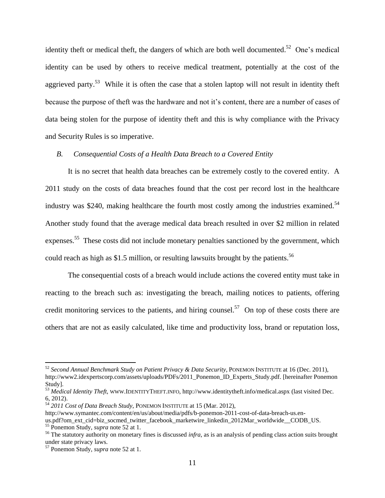<span id="page-11-0"></span>identity theft or medical theft, the dangers of which are both well documented.<sup>52</sup> One's medical identity can be used by others to receive medical treatment, potentially at the cost of the aggrieved party.<sup>53</sup> While it is often the case that a stolen laptop will not result in identity theft because the purpose of theft was the hardware and not it's content, there are a number of cases of data being stolen for the purpose of identity theft and this is why compliance with the Privacy and Security Rules is so imperative.

#### *B. Consequential Costs of a Health Data Breach to a Covered Entity*

It is no secret that health data breaches can be extremely costly to the covered entity. A 2011 study on the costs of data breaches found that the cost per record lost in the healthcare industry was \$240, making healthcare the fourth most costly among the industries examined.<sup>54</sup> Another study found that the average medical data breach resulted in over \$2 million in related expenses.<sup>55</sup> These costs did not include monetary penalties sanctioned by the government, which could reach as high as \$1.5 million, or resulting lawsuits brought by the patients.<sup>56</sup>

The consequential costs of a breach would include actions the covered entity must take in reacting to the breach such as: investigating the breach, mailing notices to patients, offering credit monitoring services to the patients, and hiring counsel.<sup>57</sup> On top of these costs there are others that are not as easily calculated, like time and productivity loss, brand or reputation loss,

<sup>52</sup> *Second Annual Benchmark Study on Patient Privacy & Data Security*, PONEMON INSTITUTE at 16 (Dec. 2011), http://www2.idexpertscorp.com/assets/uploads/PDFs/2011\_Ponemon\_ID\_Experts\_Study.pdf. [hereinafter Ponemon Study].

<sup>53</sup> *Medical Identity Theft*, WWW.IDENTITYTHEFT.INFO, http://www.identitytheft.info/medical.aspx (last visited Dec. 6, 2012).

<sup>54</sup> *2011 Cost of Data Breach Study*, PONEMON INSTITUTE at 15 (Mar. 2012),

http://www.symantec.com/content/en/us/about/media/pdfs/b-ponemon-2011-cost-of-data-breach-us.en-

us.pdf?om\_ext\_cid=biz\_socmed\_twitter\_facebook\_marketwire\_linkedin\_2012Mar\_worldwide\_\_CODB\_US. <sup>55</sup> Ponemon Study, *supra* not[e 52](#page-11-0) at 1.

<sup>&</sup>lt;sup>56</sup> The statutory authority on monetary fines is discussed *infra*, as is an analysis of pending class action suits brought under state privacy laws.

<sup>57</sup> Ponemon Study, *supra* not[e 52](#page-11-0) at 1.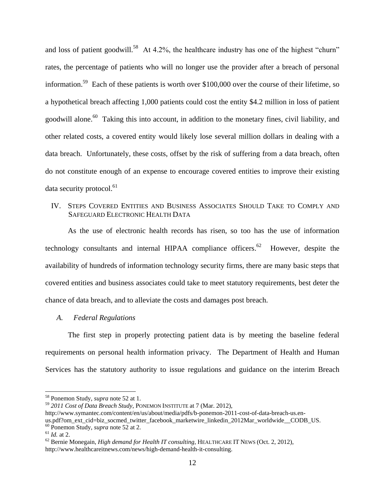and loss of patient goodwill.<sup>58</sup> At 4.2%, the healthcare industry has one of the highest "churn" rates, the percentage of patients who will no longer use the provider after a breach of personal information.<sup>59</sup> Each of these patients is worth over \$100,000 over the course of their lifetime, so a hypothetical breach affecting 1,000 patients could cost the entity \$4.2 million in loss of patient goodwill alone.<sup>60</sup> Taking this into account, in addition to the monetary fines, civil liability, and other related costs, a covered entity would likely lose several million dollars in dealing with a data breach. Unfortunately, these costs, offset by the risk of suffering from a data breach, often do not constitute enough of an expense to encourage covered entities to improve their existing data security protocol.<sup>61</sup>

# IV. STEPS COVERED ENTITIES AND BUSINESS ASSOCIATES SHOULD TAKE TO COMPLY AND SAFEGUARD ELECTRONIC HEALTH DATA

As the use of electronic health records has risen, so too has the use of information technology consultants and internal HIPAA compliance officers.<sup>62</sup> However, despite the availability of hundreds of information technology security firms, there are many basic steps that covered entities and business associates could take to meet statutory requirements, best deter the chance of data breach, and to alleviate the costs and damages post breach.

## *A. Federal Regulations*

The first step in properly protecting patient data is by meeting the baseline federal requirements on personal health information privacy. The Department of Health and Human Services has the statutory authority to issue regulations and guidance on the interim Breach

<sup>58</sup> Ponemon Study, *supra* not[e 52](#page-11-0) at 1.

<sup>59</sup> *2011 Cost of Data Breach Study*, PONEMON INSTITUTE at 7 (Mar. 2012),

http://www.symantec.com/content/en/us/about/media/pdfs/b-ponemon-2011-cost-of-data-breach-us.en-

us.pdf?om\_ext\_cid=biz\_socmed\_twitter\_facebook\_marketwire\_linkedin\_2012Mar\_worldwide\_\_CODB\_US.

<sup>60</sup> Ponemon Study, *supra* not[e 52](#page-11-0) at 2.

<sup>61</sup> *Id.* at 2.

<sup>62</sup> Bernie Monegain, *High demand for Health IT consulting*, HEALTHCARE IT NEWS (Oct. 2, 2012), http://www.healthcareitnews.com/news/high-demand-health-it-consulting.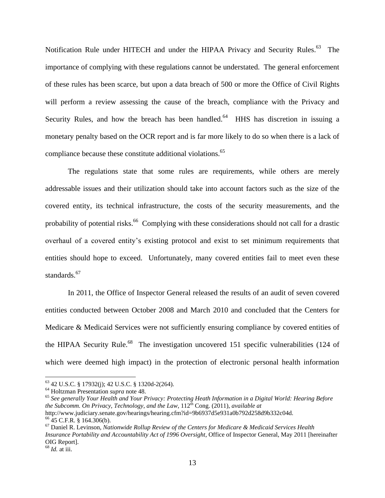Notification Rule under HITECH and under the HIPAA Privacy and Security Rules.<sup>63</sup> The importance of complying with these regulations cannot be understated. The general enforcement of these rules has been scarce, but upon a data breach of 500 or more the Office of Civil Rights will perform a review assessing the cause of the breach, compliance with the Privacy and Security Rules, and how the breach has been handled. $64$  HHS has discretion in issuing a monetary penalty based on the OCR report and is far more likely to do so when there is a lack of compliance because these constitute additional violations.<sup>65</sup>

The regulations state that some rules are requirements, while others are merely addressable issues and their utilization should take into account factors such as the size of the covered entity, its technical infrastructure, the costs of the security measurements, and the probability of potential risks.<sup>66</sup> Complying with these considerations should not call for a drastic overhaul of a covered entity's existing protocol and exist to set minimum requirements that entities should hope to exceed. Unfortunately, many covered entities fail to meet even these standards.<sup>67</sup>

In 2011, the Office of Inspector General released the results of an audit of seven covered entities conducted between October 2008 and March 2010 and concluded that the Centers for Medicare & Medicaid Services were not sufficiently ensuring compliance by covered entities of the HIPAA Security Rule.<sup>68</sup> The investigation uncovered 151 specific vulnerabilities (124 of which were deemed high impact) in the protection of electronic personal health information

<sup>63</sup> 42 U.S.C. § 17932(j); 42 U.S.C. § 1320d-2(264).

<sup>64</sup> Holtzman Presentation *supra* note [48.](#page-10-0)

<sup>65</sup> *See generally Your Health and Your Privacy: Protecting Heath Information in a Digital World: Hearing Before the Subcomm. On Privacy, Technology, and the Law, 112<sup>th</sup> Cong. (2011), <i>available at* 

http://www.judiciary.senate.gov/hearings/hearing.cfm?id=9b6937d5e931a0b792d258d9b332c04d.  $66$  45 C.F.R. § 164.306(b).

<sup>67</sup> Daniel R. Levinson, *Nationwide Rollup Review of the Centers for Medicare & Medicaid Services Health Insurance Portability and Accountability Act of 1996 Oversight*, Office of Inspector General, May 2011 [hereinafter OIG Report].

<sup>68</sup> *Id.* at iii.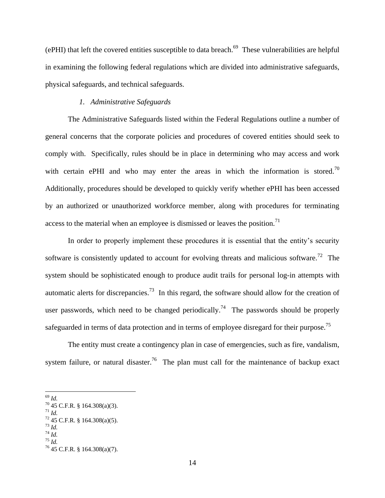$(ePHI)$  that left the covered entities susceptible to data breach.<sup>69</sup> These vulnerabilities are helpful in examining the following federal regulations which are divided into administrative safeguards, physical safeguards, and technical safeguards.

### *1. Administrative Safeguards*

The Administrative Safeguards listed within the Federal Regulations outline a number of general concerns that the corporate policies and procedures of covered entities should seek to comply with. Specifically, rules should be in place in determining who may access and work with certain ePHI and who may enter the areas in which the information is stored.<sup>70</sup> Additionally, procedures should be developed to quickly verify whether ePHI has been accessed by an authorized or unauthorized workforce member, along with procedures for terminating access to the material when an employee is dismissed or leaves the position.<sup>71</sup>

In order to properly implement these procedures it is essential that the entity's security software is consistently updated to account for evolving threats and malicious software.<sup>72</sup> The system should be sophisticated enough to produce audit trails for personal log-in attempts with automatic alerts for discrepancies.<sup>73</sup> In this regard, the software should allow for the creation of user passwords, which need to be changed periodically.<sup>74</sup> The passwords should be properly safeguarded in terms of data protection and in terms of employee disregard for their purpose.<sup>75</sup>

The entity must create a contingency plan in case of emergencies, such as fire, vandalism, system failure, or natural disaster.<sup>76</sup> The plan must call for the maintenance of backup exact

<sup>69</sup> *Id.* 

 $70\,45$  C.F.R. § 164.308(a)(3).

<sup>71</sup> *Id.* 

 $72$  45 C.F.R. § 164.308(a)(5).  $^{73}$  *Id.* 

<sup>74</sup> *Id.*

<sup>75</sup> *Id.*

<sup>76</sup> 45 C.F.R. § 164.308(a)(7).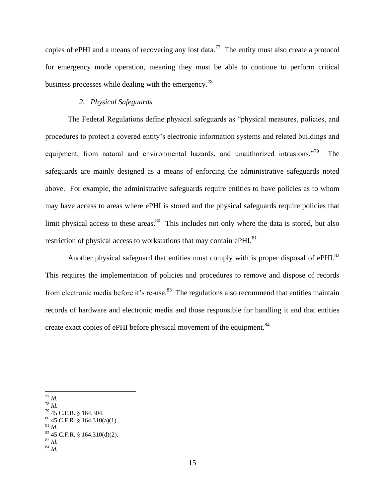copies of ePHI and a means of recovering any lost data.<sup>77</sup> The entity must also create a protocol for emergency mode operation, meaning they must be able to continue to perform critical business processes while dealing with the emergency.<sup>78</sup>

#### *2. Physical Safeguards*

The Federal Regulations define physical safeguards as "physical measures, policies, and procedures to protect a covered entity's electronic information systems and related buildings and equipment, from natural and environmental hazards, and unauthorized intrusions."<sup>79</sup> The safeguards are mainly designed as a means of enforcing the administrative safeguards noted above. For example, the administrative safeguards require entities to have policies as to whom may have access to areas where ePHI is stored and the physical safeguards require policies that limit physical access to these areas.  $80$  This includes not only where the data is stored, but also restriction of physical access to workstations that may contain ePHI.<sup>81</sup>

Another physical safeguard that entities must comply with is proper disposal of  $e$ PHI.<sup>82</sup> This requires the implementation of policies and procedures to remove and dispose of records from electronic media before it's re-use.<sup>83</sup> The regulations also recommend that entities maintain records of hardware and electronic media and those responsible for handling it and that entities create exact copies of ePHI before physical movement of the equipment.<sup>84</sup>

 $\overline{a}$ <sup>77</sup> *Id.* 

<sup>78</sup> *Id.*

<sup>79</sup> 45 C.F.R. § 164.304.

 $80$  45 C.F.R. § 164.310(a)(1). <sup>81</sup> *Id.*

 $82$  45 C.F.R. § 164.310(d)(2).

<sup>83</sup> *Id.*

 $^{84}$  *Id.*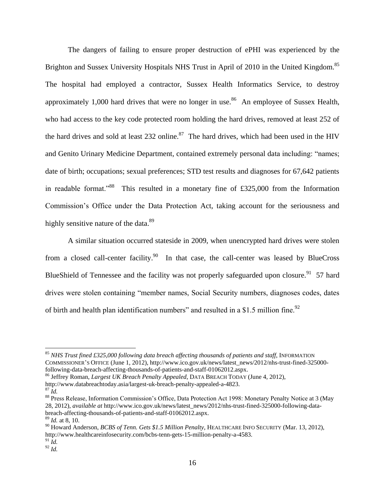The dangers of failing to ensure proper destruction of ePHI was experienced by the Brighton and Sussex University Hospitals NHS Trust in April of 2010 in the United Kingdom.<sup>85</sup> The hospital had employed a contractor, Sussex Health Informatics Service, to destroy approximately 1,000 hard drives that were no longer in use.<sup>86</sup> An employee of Sussex Health, who had access to the key code protected room holding the hard drives, removed at least 252 of the hard drives and sold at least  $232$  online.<sup>87</sup> The hard drives, which had been used in the HIV and Genito Urinary Medicine Department, contained extremely personal data including: "names; date of birth; occupations; sexual preferences; STD test results and diagnoses for 67,642 patients in readable format."<sup>88</sup> This resulted in a monetary fine of £325,000 from the Information Commission's Office under the Data Protection Act, taking account for the seriousness and highly sensitive nature of the data.<sup>89</sup>

A similar situation occurred stateside in 2009, when unencrypted hard drives were stolen from a closed call-center facility.<sup>90</sup> In that case, the call-center was leased by BlueCross BlueShield of Tennessee and the facility was not properly safeguarded upon closure.<sup>91</sup> 57 hard drives were stolen containing "member names, Social Security numbers, diagnoses codes, dates of birth and health plan identification numbers" and resulted in a \$1.5 million fine.<sup>92</sup>

 $\overline{a}$ 

<sup>91</sup> *Id.*

<sup>85</sup> *NHS Trust fined £325,000 following data breach affecting thousands of patients and staff*, INFORMATION COMMISSIONER'S OFFICE (June 1, 2012), http://www.ico.gov.uk/news/latest\_news/2012/nhs-trust-fined-325000 following-data-breach-affecting-thousands-of-patients-and-staff-01062012.aspx.

<sup>86</sup> Jeffrey Roman, *Largest UK Breach Penalty Appealed*, DATA BREACH TODAY (June 4, 2012), http://www.databreachtoday.asia/largest-uk-breach-penalty-appealed-a-4823.

 $87 \tilde{I}$ d.

<sup>88</sup> Press Release, Information Commission's Office, Data Protection Act 1998: Monetary Penalty Notice at 3 (May 28, 2012), *available at* http://www.ico.gov.uk/news/latest\_news/2012/nhs-trust-fined-325000-following-databreach-affecting-thousands-of-patients-and-staff-01062012.aspx.

<sup>89</sup> *Id.* at 8, 10.

<sup>90</sup> Howard Anderson, *BCBS of Tenn. Gets \$1.5 Million Penalty*, HEALTHCARE INFO SECURITY (Mar. 13, 2012), http://www.healthcareinfosecurity.com/bcbs-tenn-gets-15-million-penalty-a-4583.

 $^{92}$  *Id.*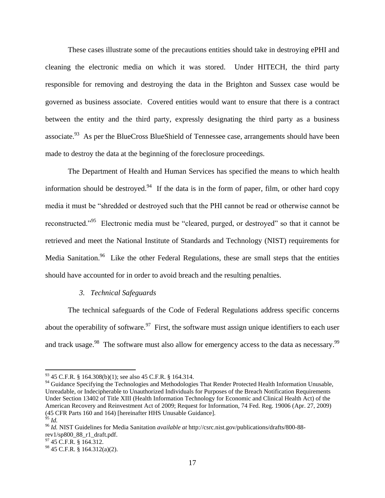These cases illustrate some of the precautions entities should take in destroying ePHI and cleaning the electronic media on which it was stored. Under HITECH, the third party responsible for removing and destroying the data in the Brighton and Sussex case would be governed as business associate. Covered entities would want to ensure that there is a contract between the entity and the third party, expressly designating the third party as a business associate.<sup>93</sup> As per the BlueCross BlueShield of Tennessee case, arrangements should have been made to destroy the data at the beginning of the foreclosure proceedings.

<span id="page-17-0"></span>The Department of Health and Human Services has specified the means to which health information should be destroyed.<sup>94</sup> If the data is in the form of paper, film, or other hard copy media it must be "shredded or destroyed such that the PHI cannot be read or otherwise cannot be reconstructed."<sup>95</sup> Electronic media must be "cleared, purged, or destroyed" so that it cannot be retrieved and meet the National Institute of Standards and Technology (NIST) requirements for Media Sanitation.<sup>96</sup> Like the other Federal Regulations, these are small steps that the entities should have accounted for in order to avoid breach and the resulting penalties.

### *3. Technical Safeguards*

The technical safeguards of the Code of Federal Regulations address specific concerns about the operability of software.<sup>97</sup> First, the software must assign unique identifiers to each user and track usage.<sup>98</sup> The software must also allow for emergency access to the data as necessary.<sup>99</sup>

 $93$  45 C.F.R. § 164.308(b)(1); see also 45 C.F.R. § 164.314.

<sup>&</sup>lt;sup>94</sup> Guidance Specifying the Technologies and Methodologies That Render Protected Health Information Unusable, Unreadable, or Indecipherable to Unauthorized Individuals for Purposes of the Breach Notification Requirements Under Section 13402 of Title XIII (Health Information Technology for Economic and Clinical Health Act) of the American Recovery and Reinvestment Act of 2009; Request for Information, 74 Fed. Reg. 19006 (Apr. 27, 2009) (45 CFR Parts 160 and 164) [hereinafter HHS Unusable Guidance].

 $\delta$ <sup>5</sup> *Id.* 

<sup>96</sup> *Id.* NIST Guidelines for Media Sanitation *available at* http://csrc.nist.gov/publications/drafts/800-88 rev1/sp800\_88\_r1\_draft.pdf.

 $97$  45 C.F.R. § 164.312.

 $98$  45 C.F.R. § 164.312(a)(2).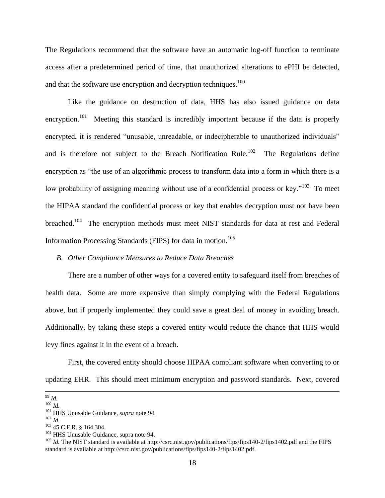The Regulations recommend that the software have an automatic log-off function to terminate access after a predetermined period of time, that unauthorized alterations to ePHI be detected, and that the software use encryption and decryption techniques.<sup>100</sup>

Like the guidance on destruction of data, HHS has also issued guidance on data encryption.<sup>101</sup> Meeting this standard is incredibly important because if the data is properly encrypted, it is rendered "unusable, unreadable, or indecipherable to unauthorized individuals" and is therefore not subject to the Breach Notification Rule.<sup>102</sup> The Regulations define encryption as "the use of an algorithmic process to transform data into a form in which there is a low probability of assigning meaning without use of a confidential process or key."<sup>103</sup> To meet the HIPAA standard the confidential process or key that enables decryption must not have been breached.<sup>104</sup> The encryption methods must meet NIST standards for data at rest and Federal Information Processing Standards (FIPS) for data in motion.<sup>105</sup>

# *B. Other Compliance Measures to Reduce Data Breaches*

There are a number of other ways for a covered entity to safeguard itself from breaches of health data. Some are more expensive than simply complying with the Federal Regulations above, but if properly implemented they could save a great deal of money in avoiding breach. Additionally, by taking these steps a covered entity would reduce the chance that HHS would levy fines against it in the event of a breach.

First, the covered entity should choose HIPAA compliant software when converting to or updating EHR. This should meet minimum encryption and password standards. Next, covered

<sup>99</sup> *Id.* 

<sup>100</sup> *Id.* 

<sup>101</sup> HHS Unusable Guidance, *supra* note [94.](#page-17-0)

<sup>102</sup> *Id.*

<sup>103</sup> 45 C.F.R. § 164.304.

<sup>&</sup>lt;sup>104</sup> HHS Unusable Guidance, supra note [94.](#page-17-0)

<sup>&</sup>lt;sup>105</sup> *Id.* The NIST standard is available at http://csrc.nist.gov/publications/fips/fips140-2/fips1402.pdf and the FIPS standard is available at http://csrc.nist.gov/publications/fips/fips140-2/fips1402.pdf.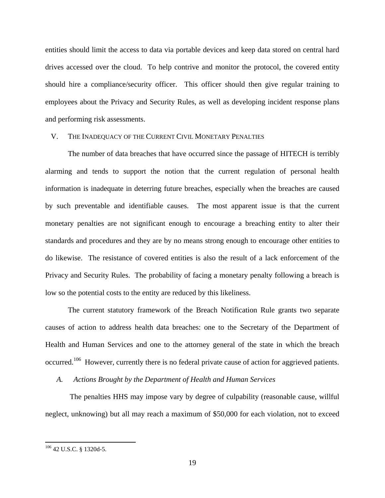entities should limit the access to data via portable devices and keep data stored on central hard drives accessed over the cloud. To help contrive and monitor the protocol, the covered entity should hire a compliance/security officer. This officer should then give regular training to employees about the Privacy and Security Rules, as well as developing incident response plans and performing risk assessments.

### V. THE INADEQUACY OF THE CURRENT CIVIL MONETARY PENALTIES

The number of data breaches that have occurred since the passage of HITECH is terribly alarming and tends to support the notion that the current regulation of personal health information is inadequate in deterring future breaches, especially when the breaches are caused by such preventable and identifiable causes. The most apparent issue is that the current monetary penalties are not significant enough to encourage a breaching entity to alter their standards and procedures and they are by no means strong enough to encourage other entities to do likewise. The resistance of covered entities is also the result of a lack enforcement of the Privacy and Security Rules. The probability of facing a monetary penalty following a breach is low so the potential costs to the entity are reduced by this likeliness.

The current statutory framework of the Breach Notification Rule grants two separate causes of action to address health data breaches: one to the Secretary of the Department of Health and Human Services and one to the attorney general of the state in which the breach occurred.<sup>106</sup> However, currently there is no federal private cause of action for aggrieved patients.

# *A. Actions Brought by the Department of Health and Human Services*

The penalties HHS may impose vary by degree of culpability (reasonable cause, willful neglect, unknowing) but all may reach a maximum of \$50,000 for each violation, not to exceed

<sup>106</sup> 42 U.S.C. § 1320d-5.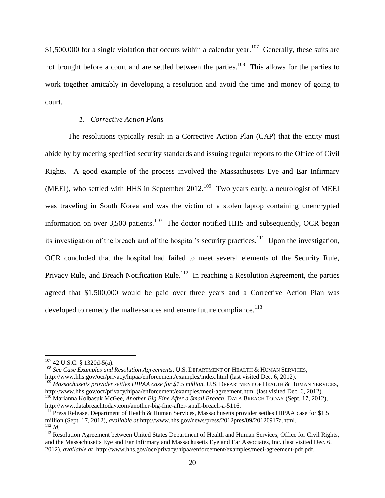\$1,500,000 for a single violation that occurs within a calendar year.<sup>107</sup> Generally, these suits are not brought before a court and are settled between the parties.<sup>108</sup> This allows for the parties to work together amicably in developing a resolution and avoid the time and money of going to court.

### *1. Corrective Action Plans*

The resolutions typically result in a Corrective Action Plan (CAP) that the entity must abide by by meeting specified security standards and issuing regular reports to the Office of Civil Rights. A good example of the process involved the Massachusetts Eye and Ear Infirmary (MEEI), who settled with HHS in September 2012.<sup>109</sup> Two years early, a neurologist of MEEI was traveling in South Korea and was the victim of a stolen laptop containing unencrypted information on over 3,500 patients. $110$  The doctor notified HHS and subsequently, OCR began its investigation of the breach and of the hospital's security practices.<sup>111</sup> Upon the investigation, OCR concluded that the hospital had failed to meet several elements of the Security Rule, Privacy Rule, and Breach Notification Rule.<sup>112</sup> In reaching a Resolution Agreement, the parties agreed that \$1,500,000 would be paid over three years and a Corrective Action Plan was developed to remedy the malfeasances and ensure future compliance.<sup>113</sup>

 $\overline{\phantom{a}}$ 

<sup>108</sup> *See Case Examples and Resolution Agreements*, U.S. DEPARTMENT OF HEALTH & HUMAN SERVICES, http://www.hhs.gov/ocr/privacy/hipaa/enforcement/examples/index.html (last visited Dec. 6, 2012).

 $107$  42 U.S.C. § 1320d-5(a).

<sup>109</sup> *Massachusetts provider settles HIPAA case for \$1.5 million*, U.S. DEPARTMENT OF HEALTH & HUMAN SERVICES, http://www.hhs.gov/ocr/privacy/hipaa/enforcement/examples/meei-agreement.html (last visited Dec. 6, 2012). <sup>110</sup> Marianna Kolbasuk McGee, *Another Big Fine After a Small Breach*, DATA BREACH TODAY (Sept. 17, 2012), http://www.databreachtoday.com/another-big-fine-after-small-breach-a-5116.

 $111$  Press Release, Department of Health & Human Services, Massachusetts provider settles HIPAA case for \$1.5 million (Sept. 17, 2012), *available at* http://www.hhs.gov/news/press/2012pres/09/20120917a.html. <sup>112</sup> *Id.*

<sup>&</sup>lt;sup>113</sup> Resolution Agreement between United States Department of Health and Human Services, Office for Civil Rights, and the Massachusetts Eye and Ear Infirmary and Massachusetts Eye and Ear Associates, Inc. (last visited Dec. 6, 2012), *available at* http://www.hhs.gov/ocr/privacy/hipaa/enforcement/examples/meei-agreement-pdf.pdf.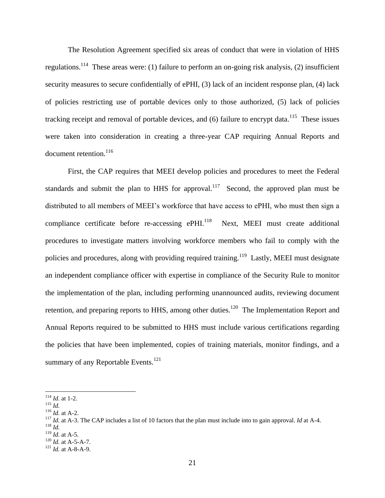The Resolution Agreement specified six areas of conduct that were in violation of HHS regulations.<sup>114</sup> These areas were: (1) failure to perform an on-going risk analysis, (2) insufficient security measures to secure confidentially of ePHI, (3) lack of an incident response plan, (4) lack of policies restricting use of portable devices only to those authorized, (5) lack of policies tracking receipt and removal of portable devices, and  $(6)$  failure to encrypt data.<sup>115</sup> These issues were taken into consideration in creating a three-year CAP requiring Annual Reports and document retention.<sup>116</sup>

First, the CAP requires that MEEI develop policies and procedures to meet the Federal standards and submit the plan to HHS for approval.<sup>117</sup> Second, the approved plan must be distributed to all members of MEEI's workforce that have access to ePHI, who must then sign a compliance certificate before re-accessing ePHI. $^{118}$  Next, MEEI must create additional procedures to investigate matters involving workforce members who fail to comply with the policies and procedures, along with providing required training.<sup>119</sup> Lastly, MEEI must designate an independent compliance officer with expertise in compliance of the Security Rule to monitor the implementation of the plan, including performing unannounced audits, reviewing document retention, and preparing reports to HHS, among other duties.<sup>120</sup> The Implementation Report and Annual Reports required to be submitted to HHS must include various certifications regarding the policies that have been implemented, copies of training materials, monitor findings, and a summary of any Reportable Events. $121$ 

 $\overline{a}$ 

<sup>118</sup> *Id.*

<sup>114</sup> *Id.* at 1-2.

<sup>115</sup> *Id.*

<sup>116</sup> *Id.* at A-2.

<sup>117</sup> *Id.* at A-3. The CAP includes a list of 10 factors that the plan must include into to gain approval. *Id* at A-4.

<sup>119</sup> *Id.* at A-5.

<sup>120</sup> *Id.* at A-5-A-7.

<sup>121</sup> *Id.* at A-8-A-9.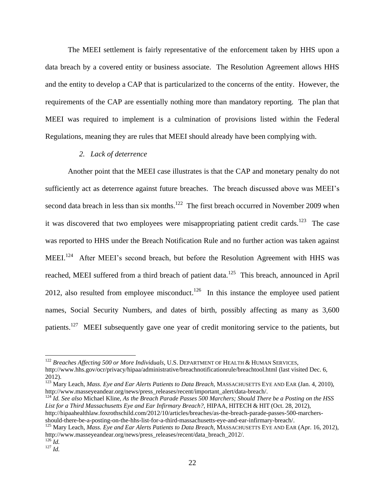The MEEI settlement is fairly representative of the enforcement taken by HHS upon a data breach by a covered entity or business associate. The Resolution Agreement allows HHS and the entity to develop a CAP that is particularized to the concerns of the entity. However, the requirements of the CAP are essentially nothing more than mandatory reporting. The plan that MEEI was required to implement is a culmination of provisions listed within the Federal Regulations, meaning they are rules that MEEI should already have been complying with.

#### *2. Lack of deterrence*

Another point that the MEEI case illustrates is that the CAP and monetary penalty do not sufficiently act as deterrence against future breaches. The breach discussed above was MEEI's second data breach in less than six months.<sup>122</sup> The first breach occurred in November 2009 when it was discovered that two employees were misappropriating patient credit cards.<sup>123</sup> The case was reported to HHS under the Breach Notification Rule and no further action was taken against MEEI.<sup>124</sup> After MEEI's second breach, but before the Resolution Agreement with HHS was reached, MEEI suffered from a third breach of patient data.<sup>125</sup> This breach, announced in April 2012, also resulted from employee misconduct.<sup>126</sup> In this instance the employee used patient names, Social Security Numbers, and dates of birth, possibly affecting as many as 3,600 patients.<sup>127</sup> MEEI subsequently gave one year of credit monitoring service to the patients, but

<sup>124</sup> *Id. See also* Michael Kline, *As the Breach Parade Passes 500 Marchers; Should There be a Posting on the HSS List for a Third Massachusetts Eye and Ear Infirmary Breach?*, HIPAA, HITECH & HIT (Oct. 28, 2012), http://hipaahealthlaw.foxrothschild.com/2012/10/articles/breaches/as-the-breach-parade-passes-500-marchers-

should-there-be-a-posting-on-the-hhs-list-for-a-third-massachusetts-eye-and-ear-infirmary-breach/.

 $^{126}$ *Id.* <sup>127</sup> *Id.*

<sup>122</sup> *Breaches Affecting 500 or More Individuals*, U.S. DEPARTMENT OF HEALTH & HUMAN SERVICES, http://www.hhs.gov/ocr/privacy/hipaa/administrative/breachnotificationrule/breachtool.html (last visited Dec. 6, 2012).

<sup>123</sup> Mary Leach, *Mass. Eye and Ear Alerts Patients to Data Breach*, MASSACHUSETTS EYE AND EAR (Jan. 4, 2010), http://www.masseyeandear.org/news/press\_releases/recent/important\_alert/data-breach/.

<sup>125</sup> Mary Leach, *Mass. Eye and Ear Alerts Patients to Data Breach*, MASSACHUSETTS EYE AND EAR (Apr. 16, 2012), http://www.masseyeandear.org/news/press\_releases/recent/data\_breach\_2012/.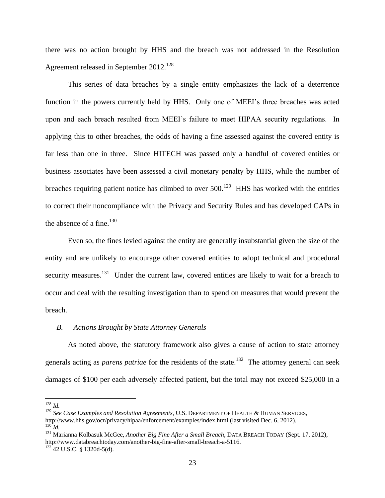there was no action brought by HHS and the breach was not addressed in the Resolution Agreement released in September 2012.<sup>128</sup>

This series of data breaches by a single entity emphasizes the lack of a deterrence function in the powers currently held by HHS. Only one of MEEI's three breaches was acted upon and each breach resulted from MEEI's failure to meet HIPAA security regulations. In applying this to other breaches, the odds of having a fine assessed against the covered entity is far less than one in three. Since HITECH was passed only a handful of covered entities or business associates have been assessed a civil monetary penalty by HHS, while the number of breaches requiring patient notice has climbed to over  $500$ .<sup>129</sup> HHS has worked with the entities to correct their noncompliance with the Privacy and Security Rules and has developed CAPs in the absence of a fine. $130$ 

Even so, the fines levied against the entity are generally insubstantial given the size of the entity and are unlikely to encourage other covered entities to adopt technical and procedural security measures.<sup>131</sup> Under the current law, covered entities are likely to wait for a breach to occur and deal with the resulting investigation than to spend on measures that would prevent the breach.

#### *B. Actions Brought by State Attorney Generals*

As noted above, the statutory framework also gives a cause of action to state attorney generals acting as *parens patriae* for the residents of the state. <sup>132</sup> The attorney general can seek damages of \$100 per each adversely affected patient, but the total may not exceed \$25,000 in a

<sup>128</sup> *Id.* 

<sup>129</sup> *See Case Examples and Resolution Agreements*, U.S. DEPARTMENT OF HEALTH & HUMAN SERVICES, http://www.hhs.gov/ocr/privacy/hipaa/enforcement/examples/index.html (last visited Dec. 6, 2012). <sup>130</sup> *Id.*

<sup>131</sup> Marianna Kolbasuk McGee, *Another Big Fine After a Small Breach*, DATA BREACH TODAY (Sept. 17, 2012), http://www.databreachtoday.com/another-big-fine-after-small-breach-a-5116.  $132$  42 U.S.C. § 1320d-5(d).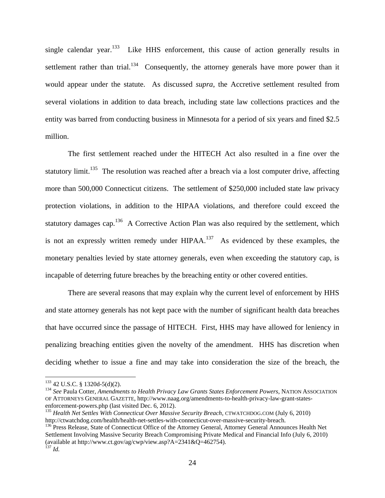single calendar year.<sup>133</sup> Like HHS enforcement, this cause of action generally results in settlement rather than trial.<sup>134</sup> Consequently, the attorney generals have more power than it would appear under the statute. As discussed *supra*, the Accretive settlement resulted from several violations in addition to data breach, including state law collections practices and the entity was barred from conducting business in Minnesota for a period of six years and fined \$2.5 million.

The first settlement reached under the HITECH Act also resulted in a fine over the statutory  $\text{limit.}^{135}$  The resolution was reached after a breach via a lost computer drive, affecting more than 500,000 Connecticut citizens. The settlement of \$250,000 included state law privacy protection violations, in addition to the HIPAA violations, and therefore could exceed the statutory damages cap.<sup>136</sup> A Corrective Action Plan was also required by the settlement, which is not an expressly written remedy under  $HIPAA$ .<sup>137</sup> As evidenced by these examples, the monetary penalties levied by state attorney generals, even when exceeding the statutory cap, is incapable of deterring future breaches by the breaching entity or other covered entities.

There are several reasons that may explain why the current level of enforcement by HHS and state attorney generals has not kept pace with the number of significant health data breaches that have occurred since the passage of HITECH. First, HHS may have allowed for leniency in penalizing breaching entities given the novelty of the amendment. HHS has discretion when deciding whether to issue a fine and may take into consideration the size of the breach, the

<sup>133</sup> 42 U.S.C. § 1320d-5(d)(2).

<sup>134</sup> *See* Paula Cotter, *Amendments to Health Privacy Law Grants States Enforcement Powers*, NATION ASSOCIATION OF ATTORNEYS GENERAL GAZETTE, http://www.naag.org/amendments-to-health-privacy-law-grant-statesenforcement-powers.php (last visited Dec. 6, 2012).

<sup>135</sup> *Health Net Settles With Connecticut Over Massive Security Breach*, CTWATCHDOG.COM (July 6, 2010) http://ctwatchdog.com/health/health-net-settles-with-connecticut-over-massive-security-breach.

<sup>&</sup>lt;sup>136</sup> Press Release, State of Connecticut Office of the Attorney General, Attorney General Announces Health Net Settlement Involving Massive Security Breach Compromising Private Medical and Financial Info (July 6, 2010) (available at http://www.ct.gov/ag/cwp/view.asp?A=2341&Q=462754). <sup>137</sup> *Id.*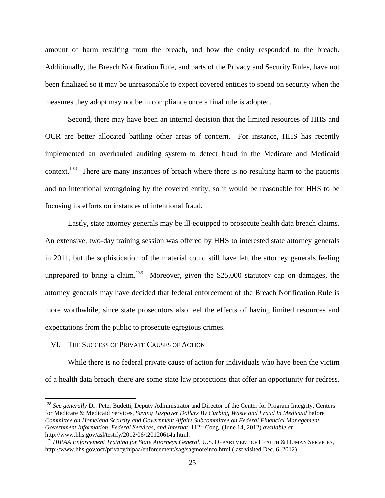amount of harm resulting from the breach, and how the entity responded to the breach. Additionally, the Breach Notification Rule, and parts of the Privacy and Security Rules, have not been finalized so it may be unreasonable to expect covered entities to spend on security when the measures they adopt may not be in compliance once a final rule is adopted.

Second, there may have been an internal decision that the limited resources of HHS and OCR are better allocated battling other areas of concern. For instance, HHS has recently implemented an overhauled auditing system to detect fraud in the Medicare and Medicaid context.<sup>138</sup> There are many instances of breach where there is no resulting harm to the patients and no intentional wrongdoing by the covered entity, so it would be reasonable for HHS to be focusing its efforts on instances of intentional fraud.

Lastly, state attorney generals may be ill-equipped to prosecute health data breach claims. An extensive, two-day training session was offered by HHS to interested state attorney generals in 2011, but the sophistication of the material could still have left the attorney generals feeling unprepared to bring a claim.<sup>139</sup> Moreover, given the \$25,000 statutory cap on damages, the attorney generals may have decided that federal enforcement of the Breach Notification Rule is more worthwhile, since state prosecutors also feel the effects of having limited resources and expectations from the public to prosecute egregious crimes.

#### VI. THE SUCCESS OF PRIVATE CAUSES OF ACTION

 $\overline{\phantom{a}}$ 

While there is no federal private cause of action for individuals who have been the victim of a health data breach, there are some state law protections that offer an opportunity for redress.

<sup>&</sup>lt;sup>138</sup> See generally Dr. Peter Budetti, Deputy Administrator and Director of the Center for Program Integrity, Centers for Medicare & Medicaid Services, *Saving Taxpayer Dollars By Curbing Waste and Fraud In Medicaid* before *Committee on Homeland Security and Government Affairs Subcommittee on Federal Financial Management, Government Information, Federal Services, and Internat*, 112th Cong. (June 14, 2012) *available at* http://www.hhs.gov/asl/testify/2012/06/t20120614a.html.

<sup>&</sup>lt;sup>139</sup> *HIPAA Enforcement Training for State Attorneys General*, U.S. DEPARTMENT OF HEALTH & HUMAN SERVICES, http://www.hhs.gov/ocr/privacy/hipaa/enforcement/sag/sagmoreinfo.html (last visited Dec. 6, 2012).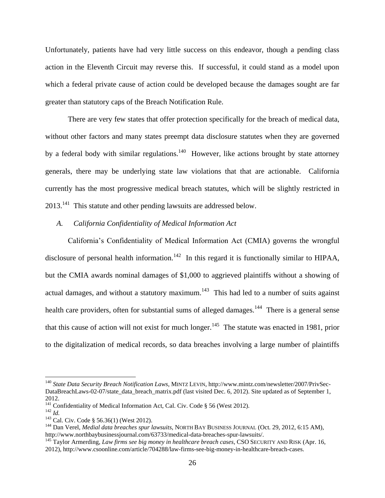Unfortunately, patients have had very little success on this endeavor, though a pending class action in the Eleventh Circuit may reverse this. If successful, it could stand as a model upon which a federal private cause of action could be developed because the damages sought are far greater than statutory caps of the Breach Notification Rule.

There are very few states that offer protection specifically for the breach of medical data, without other factors and many states preempt data disclosure statutes when they are governed by a federal body with similar regulations.<sup>140</sup> However, like actions brought by state attorney generals, there may be underlying state law violations that that are actionable. California currently has the most progressive medical breach statutes, which will be slightly restricted in  $2013$ <sup>141</sup> This statute and other pending lawsuits are addressed below.

## *A. California Confidentiality of Medical Information Act*

California's Confidentiality of Medical Information Act (CMIA) governs the wrongful disclosure of personal health information.<sup>142</sup> In this regard it is functionally similar to HIPAA, but the CMIA awards nominal damages of \$1,000 to aggrieved plaintiffs without a showing of actual damages, and without a statutory maximum.<sup>143</sup> This had led to a number of suits against health care providers, often for substantial sums of alleged damages.<sup>144</sup> There is a general sense that this cause of action will not exist for much longer.<sup>145</sup> The statute was enacted in 1981, prior to the digitalization of medical records, so data breaches involving a large number of plaintiffs

<sup>140</sup> *State Data Security Breach Notification Laws*, MINTZ LEVIN, http://www.mintz.com/newsletter/2007/PrivSec-DataBreachLaws-02-07/state\_data\_breach\_matrix.pdf (last visited Dec. 6, 2012). Site updated as of September 1, 2012.

<sup>&</sup>lt;sup>141</sup> Confidentiality of Medical Information Act, Cal. Civ. Code § 56 (West 2012).

<sup>142</sup> *Id.* 

<sup>&</sup>lt;sup>143</sup> Cal. Civ. Code § 56.36(1) (West 2012).

<sup>144</sup> Dan Verel, *Medial data breaches spur lawsuits*, NORTH BAY BUSINESS JOURNAL (Oct. 29, 2012, 6:15 AM), http://www.northbaybusinessjournal.com/63733/medical-data-breaches-spur-lawsuits/.

<sup>&</sup>lt;sup>145</sup> Taylor Armerding, *Law firms see big money in healthcare breach cases*, CSO SECURITY AND RISK (Apr. 16, 2012), http://www.csoonline.com/article/704288/law-firms-see-big-money-in-healthcare-breach-cases.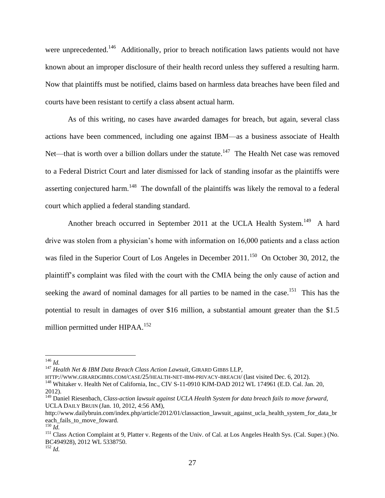were unprecedented.<sup>146</sup> Additionally, prior to breach notification laws patients would not have known about an improper disclosure of their health record unless they suffered a resulting harm. Now that plaintiffs must be notified, claims based on harmless data breaches have been filed and courts have been resistant to certify a class absent actual harm.

As of this writing, no cases have awarded damages for breach, but again, several class actions have been commenced, including one against IBM—as a business associate of Health Net—that is worth over a billion dollars under the statute.<sup>147</sup> The Health Net case was removed to a Federal District Court and later dismissed for lack of standing insofar as the plaintiffs were asserting conjectured harm.<sup>148</sup> The downfall of the plaintiffs was likely the removal to a federal court which applied a federal standing standard.

Another breach occurred in September 2011 at the UCLA Health System.<sup>149</sup> A hard drive was stolen from a physician's home with information on 16,000 patients and a class action was filed in the Superior Court of Los Angeles in December 2011.<sup>150</sup> On October 30, 2012, the plaintiff's complaint was filed with the court with the CMIA being the only cause of action and seeking the award of nominal damages for all parties to be named in the case.<sup>151</sup> This has the potential to result in damages of over \$16 million, a substantial amount greater than the \$1.5 million permitted under HIPAA.<sup>152</sup>

<sup>146</sup> *Id.*

<sup>147</sup> *Health Net & IBM Data Breach Class Action Lawsuit*, GIRARD GIBBS LLP,

HTTP://WWW.GIRARDGIBBS.COM/CASE/25/HEALTH-NET-IBM-PRIVACY-BREACH/ (last visited Dec. 6, 2012).

<sup>&</sup>lt;sup>148</sup> Whitaker v. Health Net of California, Inc., CIV S-11-0910 KJM-DAD 2012 WL 174961 (E.D. Cal. Jan. 20, 2012).

<sup>&</sup>lt;sup>149</sup> Daniel Riesenbach, *Class-action lawsuit against UCLA Health System for data breach fails to move forward*, UCLA DAILY BRUIN (Jan. 10, 2012, 4:56 AM),

http://www.dailybruin.com/index.php/article/2012/01/classaction\_lawsuit\_against\_ucla\_health\_system\_for\_data\_br each\_fails\_to\_move\_foward.

 $^{150}$  *Id.* 

<sup>&</sup>lt;sup>151</sup> Class Action Complaint at 9, Platter v. Regents of the Univ. of Cal. at Los Angeles Health Sys. (Cal. Super.) (No. BC494928), 2012 WL 5338750.

 $152$  *Id.*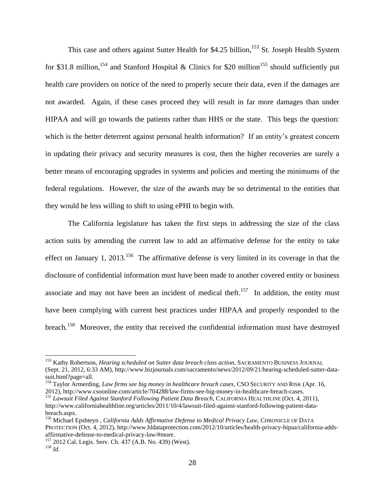This case and others against Sutter Health for \$4.25 billion,<sup>153</sup> St. Joseph Health System for \$31.8 million,<sup>154</sup> and Stanford Hospital & Clinics for \$20 million<sup>155</sup> should sufficiently put health care providers on notice of the need to properly secure their data, even if the damages are not awarded. Again, if these cases proceed they will result in far more damages than under HIPAA and will go towards the patients rather than HHS or the state. This begs the question: which is the better deterrent against personal health information? If an entity's greatest concern in updating their privacy and security measures is cost, then the higher recoveries are surely a better means of encouraging upgrades in systems and policies and meeting the minimums of the federal regulations. However, the size of the awards may be so detrimental to the entities that they would be less willing to shift to using ePHI to begin with.

The California legislature has taken the first steps in addressing the size of the class action suits by amending the current law to add an affirmative defense for the entity to take effect on January 1, 2013.<sup>156</sup> The affirmative defense is very limited in its coverage in that the disclosure of confidential information must have been made to another covered entity or business associate and may not have been an incident of medical theft.<sup>157</sup> In addition, the entity must have been complying with current best practices under HIPAA and properly responded to the breach.<sup>158</sup> Moreover, the entity that received the confidential information must have destroyed

<sup>153</sup> Kathy Robertson, *Hearing scheduled on Sutter data breach class action*, SACRAMENTO BUSINESS JOURNAL (Sept. 21, 2012, 6:33 AM), http://www.bizjournals.com/sacramento/news/2012/09/21/hearing-scheduled-sutter-datasuit.html?page=all.

<sup>154</sup> Taylor Armerding, *Law firms see big money in healthcare breach cases*, CSO SECURITY AND RISK (Apr. 16, 2012), http://www.csoonline.com/article/704288/law-firms-see-big-money-in-healthcare-breach-cases.

<sup>155</sup> *Lawsuit Filed Against Stanford Following Patient Data Breach*, CALIFORNIA HEALTHLINE (Oct. 4, 2011), http://www.californiahealthline.org/articles/2011/10/4/lawsuit-filed-against-stanford-following-patient-databreach.aspx.

<sup>156</sup> Michael Epshteyn , *California Adds Affirmative Defense to Medical Privacy Law*, CHRONICLE OF DATA PROTECTION (Oct. 4, 2012), http://www.hldataprotection.com/2012/10/articles/health-privacy-hipaa/california-addsaffirmative-defense-to-medical-privacy-law/#more.

<sup>157</sup> 2012 Cal. Legis. Serv. Ch. 437 (A.B. No. 439) (West). <sup>158</sup> *Id.*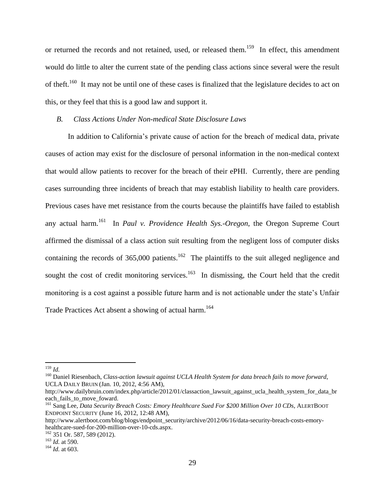or returned the records and not retained, used, or released them.<sup>159</sup> In effect, this amendment would do little to alter the current state of the pending class actions since several were the result of theft.<sup>160</sup> It may not be until one of these cases is finalized that the legislature decides to act on this, or they feel that this is a good law and support it.

# *B. Class Actions Under Non-medical State Disclosure Laws*

In addition to California's private cause of action for the breach of medical data, private causes of action may exist for the disclosure of personal information in the non-medical context that would allow patients to recover for the breach of their ePHI. Currently, there are pending cases surrounding three incidents of breach that may establish liability to health care providers. Previous cases have met resistance from the courts because the plaintiffs have failed to establish any actual harm.<sup>161</sup> In *Paul v. Providence Health Sys.-Oregon*, the Oregon Supreme Court affirmed the dismissal of a class action suit resulting from the negligent loss of computer disks containing the records of 365,000 patients.<sup>162</sup> The plaintiffs to the suit alleged negligence and sought the cost of credit monitoring services.<sup>163</sup> In dismissing, the Court held that the credit monitoring is a cost against a possible future harm and is not actionable under the state's Unfair Trade Practices Act absent a showing of actual harm.<sup>164</sup>

<sup>159</sup> *Id.*

<sup>160</sup> Daniel Riesenbach, *Class-action lawsuit against UCLA Health System for data breach fails to move forward*, UCLA DAILY BRUIN (Jan. 10, 2012, 4:56 AM),

http://www.dailybruin.com/index.php/article/2012/01/classaction\_lawsuit\_against\_ucla\_health\_system\_for\_data\_br each fails to move foward.

<sup>161</sup> Sang Lee, *Data Security Breach Costs: Emory Healthcare Sued For \$200 Million Over 10 CDs*, ALERTBOOT ENDPOINT SECURITY (June 16, 2012, 12:48 AM),

http://www.alertboot.com/blog/blogs/endpoint\_security/archive/2012/06/16/data-security-breach-costs-emoryhealthcare-sued-for-200-million-over-10-cds.aspx.

<sup>162</sup> 351 Or. 587, 589 (2012).

<sup>163</sup> *Id.* at 590.

<sup>164</sup> *Id.* at 603.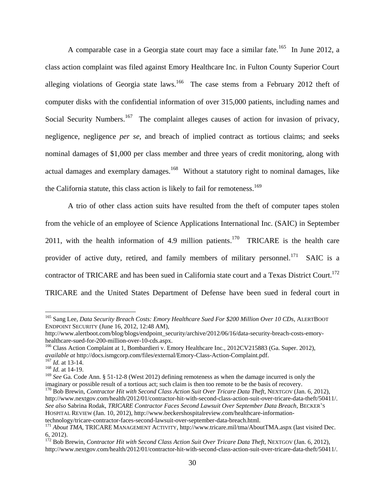A comparable case in a Georgia state court may face a similar fate.<sup>165</sup> In June 2012, a class action complaint was filed against Emory Healthcare Inc. in Fulton County Superior Court alleging violations of Georgia state laws.<sup>166</sup> The case stems from a February 2012 theft of computer disks with the confidential information of over 315,000 patients, including names and Social Security Numbers.<sup>167</sup> The complaint alleges causes of action for invasion of privacy, negligence, negligence *per se*, and breach of implied contract as tortious claims; and seeks nominal damages of \$1,000 per class member and three years of credit monitoring, along with actual damages and exemplary damages.<sup>168</sup> Without a statutory right to nominal damages, like the California statute, this class action is likely to fail for remoteness.<sup>169</sup>

A trio of other class action suits have resulted from the theft of computer tapes stolen from the vehicle of an employee of Science Applications International Inc. (SAIC) in September 2011, with the health information of 4.9 million patients.<sup>170</sup> TRICARE is the health care provider of active duty, retired, and family members of military personnel.<sup>171</sup> SAIC is a contractor of TRICARE and has been sued in California state court and a Texas District Court.<sup>172</sup> TRICARE and the United States Department of Defense have been sued in federal court in

<sup>165</sup> Sang Lee, *Data Security Breach Costs: Emory Healthcare Sued For \$200 Million Over 10 CDs*, ALERTBOOT ENDPOINT SECURITY (June 16, 2012, 12:48 AM),

http://www.alertboot.com/blog/blogs/endpoint\_security/archive/2012/06/16/data-security-breach-costs-emoryhealthcare-sued-for-200-million-over-10-cds.aspx.

<sup>&</sup>lt;sup>166</sup> Class Action Complaint at 1, Bombardieri v. Emory Healthcare Inc., 2012CV215883 (Ga. Super. 2012), *available at* http://docs.ismgcorp.com/files/external/Emory-Class-Action-Complaint.pdf. <sup>167</sup> *Id.* at 13-14.

<sup>&</sup>lt;sup>168</sup> *Id.* at 14-19.

<sup>169</sup> *See* Ga. Code Ann. § 51-12-8 (West 2012) defining remoteness as when the damage incurred is only the imaginary or possible result of a tortious act; such claim is then too remote to be the basis of recovery.

<sup>&</sup>lt;sup>170</sup> Bob Brewin, *Contractor Hit with Second Class Action Suit Over Tricare Data Theft*, NEXTGOV (Jan. 6, 2012), http://www.nextgov.com/health/2012/01/contractor-hit-with-second-class-action-suit-over-tricare-data-theft/50411/. *See also* Sabrina Rodak, *TRICARE Contractor Faces Second Lawsuit Over September Data Breach*, BECKER'S HOSPITAL REVIEW (Jan. 10, 2012), http://www.beckershospitalreview.com/healthcare-informationtechnology/tricare-contractor-faces-second-lawsuit-over-september-data-breach.html.

<sup>&</sup>lt;sup>171</sup> About TMA, TRICARE MANAGEMENT ACTIVITY, http://www.tricare.mil/tma/AboutTMA.aspx (last visited Dec. 6, 2012).

<sup>&</sup>lt;sup>172</sup> Bob Brewin, *Contractor Hit with Second Class Action Suit Over Tricare Data Theft*, NEXTGOV (Jan. 6, 2012), http://www.nextgov.com/health/2012/01/contractor-hit-with-second-class-action-suit-over-tricare-data-theft/50411/.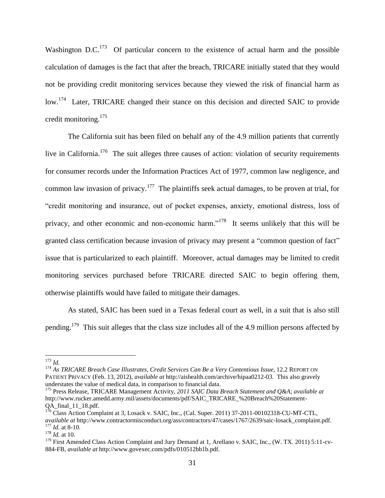Washington D.C.<sup>173</sup> Of particular concern to the existence of actual harm and the possible calculation of damages is the fact that after the breach, TRICARE initially stated that they would not be providing credit monitoring services because they viewed the risk of financial harm as low.<sup>174</sup> Later, TRICARE changed their stance on this decision and directed SAIC to provide credit monitoring. $175$ 

The California suit has been filed on behalf any of the 4.9 million patients that currently live in California.<sup>176</sup> The suit alleges three causes of action: violation of security requirements for consumer records under the Information Practices Act of 1977, common law negligence, and common law invasion of privacy.<sup>177</sup> The plaintiffs seek actual damages, to be proven at trial, for "credit monitoring and insurance, out of pocket expenses, anxiety, emotional distress, loss of privacy, and other economic and non-economic harm."<sup>178</sup> It seems unlikely that this will be granted class certification because invasion of privacy may present a "common question of fact" issue that is particularized to each plaintiff. Moreover, actual damages may be limited to credit monitoring services purchased before TRICARE directed SAIC to begin offering them, otherwise plaintiffs would have failed to mitigate their damages.

As stated, SAIC has been sued in a Texas federal court as well, in a suit that is also still pending.<sup>179</sup> This suit alleges that the class size includes all of the 4.9 million persons affected by

<sup>173</sup> *Id.*

<sup>174</sup> *As TRICARE Breach Case Illustrates, Credit Services Can Be a Very Contentious Issue*, 12.2 REPORT ON PATIENT PRIVACY (Feb. 13, 2012), *available at* http://aishealth.com/archive/hipaa0212-03. This also gravely understates the value of medical data, in comparison to financial data.

<sup>175</sup> Press Release, TRICARE Management Activity, *2011 SAIC Data Breach Statement and Q&A*; *available at*  http://www.rucker.amedd.army.mil/assets/documents/pdf/SAIC\_TRICARE\_%20Breach%20Statement-QA final 11\_18.pdf.

 $1^{76}$  Class Action Complaint at 3, Losack v. SAIC, Inc., (Cal. Super. 2011) 37-2011-00102318-CU-MT-CTL, *available at* http://www.contractormisconduct.org/ass/contractors/47/cases/1767/2639/saic-losack\_complaint.pdf. <sup>177</sup> *Id.* at 8-10.

 $178$  *Id.* at 10.

<sup>&</sup>lt;sup>179</sup> First Amended Class Action Complaint and Jury Demand at 1, Arellano v. SAIC, Inc., (W. TX. 2011) 5:11-cv-884-FB, *available at* http://www.govexec.com/pdfs/010512bb1b.pdf.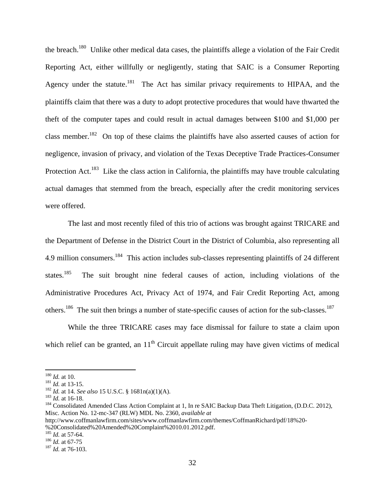the breach.<sup>180</sup> Unlike other medical data cases, the plaintiffs allege a violation of the Fair Credit Reporting Act, either willfully or negligently, stating that SAIC is a Consumer Reporting Agency under the statute.<sup>181</sup> The Act has similar privacy requirements to HIPAA, and the plaintiffs claim that there was a duty to adopt protective procedures that would have thwarted the theft of the computer tapes and could result in actual damages between \$100 and \$1,000 per class member.<sup>182</sup> On top of these claims the plaintiffs have also asserted causes of action for negligence, invasion of privacy, and violation of the Texas Deceptive Trade Practices-Consumer Protection Act.<sup>183</sup> Like the class action in California, the plaintiffs may have trouble calculating actual damages that stemmed from the breach, especially after the credit monitoring services were offered.

The last and most recently filed of this trio of actions was brought against TRICARE and the Department of Defense in the District Court in the District of Columbia, also representing all 4.9 million consumers.<sup>184</sup> This action includes sub-classes representing plaintiffs of 24 different states.<sup>185</sup> The suit brought nine federal causes of action, including violations of the Administrative Procedures Act, Privacy Act of 1974, and Fair Credit Reporting Act, among others.<sup>186</sup> The suit then brings a number of state-specific causes of action for the sub-classes.<sup>187</sup>

While the three TRICARE cases may face dismissal for failure to state a claim upon which relief can be granted, an  $11<sup>th</sup>$  Circuit appellate ruling may have given victims of medical

<sup>180</sup> *Id.* at 10.

<sup>181</sup> *Id.* at 13-15.

<sup>182</sup> *Id.* at 14. *See also* 15 U.S.C. § 1681n(a)(1)(A).

<sup>183</sup> *Id.* at 16-18.

<sup>&</sup>lt;sup>184</sup> Consolidated Amended Class Action Complaint at 1, In re SAIC Backup Data Theft Litigation, (D.D.C. 2012), Misc. Action No. 12-mc-347 (RLW) MDL No. 2360, *available at* 

http://www.coffmanlawfirm.com/sites/www.coffmanlawfirm.com/themes/CoffmanRichard/pdf/18%20- %20Consolidated%20Amended%20Complaint%2010.01.2012.pdf.

<sup>185</sup> *Id.* at 57-64.

<sup>186</sup> *Id.* at 67-75

<sup>187</sup> *Id.* at 76-103.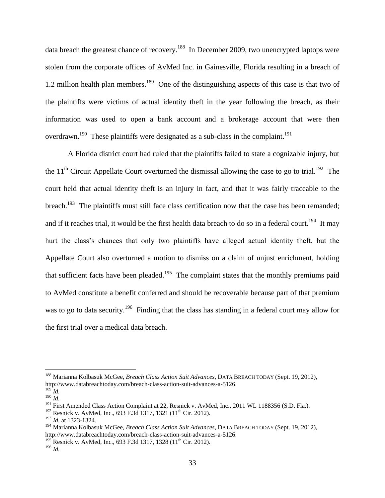data breach the greatest chance of recovery.<sup>188</sup> In December 2009, two unencrypted laptops were stolen from the corporate offices of AvMed Inc. in Gainesville, Florida resulting in a breach of 1.2 million health plan members.<sup>189</sup> One of the distinguishing aspects of this case is that two of the plaintiffs were victims of actual identity theft in the year following the breach, as their information was used to open a bank account and a brokerage account that were then overdrawn.<sup>190</sup> These plaintiffs were designated as a sub-class in the complaint.<sup>191</sup>

A Florida district court had ruled that the plaintiffs failed to state a cognizable injury, but the 11<sup>th</sup> Circuit Appellate Court overturned the dismissal allowing the case to go to trial.<sup>192</sup> The court held that actual identity theft is an injury in fact, and that it was fairly traceable to the breach.<sup>193</sup> The plaintiffs must still face class certification now that the case has been remanded; and if it reaches trial, it would be the first health data breach to do so in a federal court.<sup>194</sup> It may hurt the class's chances that only two plaintiffs have alleged actual identity theft, but the Appellate Court also overturned a motion to dismiss on a claim of unjust enrichment, holding that sufficient facts have been pleaded.<sup>195</sup> The complaint states that the monthly premiums paid to AvMed constitute a benefit conferred and should be recoverable because part of that premium was to go to data security.<sup>196</sup> Finding that the class has standing in a federal court may allow for the first trial over a medical data breach.

<sup>188</sup> Marianna Kolbasuk McGee, *Breach Class Action Suit Advances*, DATA BREACH TODAY (Sept. 19, 2012), http://www.databreachtoday.com/breach-class-action-suit-advances-a-5126.  $^{189}$ *Id.* 

<sup>190</sup> *Id.* 

<sup>&</sup>lt;sup>191</sup> First Amended Class Action Complaint at 22, Resnick v. AvMed, Inc., 2011 WL 1188356 (S.D. Fla.).

<sup>&</sup>lt;sup>192</sup> Resnick v. AvMed, Inc., 693 F.3d 1317, 1321 (11<sup>th</sup> Cir. 2012).

<sup>193</sup> *Id.* at 1323-1324.

<sup>194</sup> Marianna Kolbasuk McGee, *Breach Class Action Suit Advances*, DATA BREACH TODAY (Sept. 19, 2012), http://www.databreachtoday.com/breach-class-action-suit-advances-a-5126.

<sup>&</sup>lt;sup>195</sup> Resnick v. AvMed, Inc., 693 F.3d 1317, 1328 (11<sup>th</sup> Cir. 2012).

<sup>196</sup> *Id.*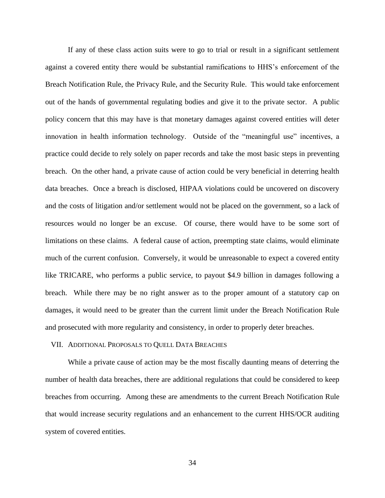If any of these class action suits were to go to trial or result in a significant settlement against a covered entity there would be substantial ramifications to HHS's enforcement of the Breach Notification Rule, the Privacy Rule, and the Security Rule. This would take enforcement out of the hands of governmental regulating bodies and give it to the private sector. A public policy concern that this may have is that monetary damages against covered entities will deter innovation in health information technology. Outside of the "meaningful use" incentives, a practice could decide to rely solely on paper records and take the most basic steps in preventing breach. On the other hand, a private cause of action could be very beneficial in deterring health data breaches. Once a breach is disclosed, HIPAA violations could be uncovered on discovery and the costs of litigation and/or settlement would not be placed on the government, so a lack of resources would no longer be an excuse. Of course, there would have to be some sort of limitations on these claims. A federal cause of action, preempting state claims, would eliminate much of the current confusion. Conversely, it would be unreasonable to expect a covered entity like TRICARE, who performs a public service, to payout \$4.9 billion in damages following a breach. While there may be no right answer as to the proper amount of a statutory cap on damages, it would need to be greater than the current limit under the Breach Notification Rule and prosecuted with more regularity and consistency, in order to properly deter breaches.

#### VII. ADDITIONAL PROPOSALS TO QUELL DATA BREACHES

While a private cause of action may be the most fiscally daunting means of deterring the number of health data breaches, there are additional regulations that could be considered to keep breaches from occurring. Among these are amendments to the current Breach Notification Rule that would increase security regulations and an enhancement to the current HHS/OCR auditing system of covered entities.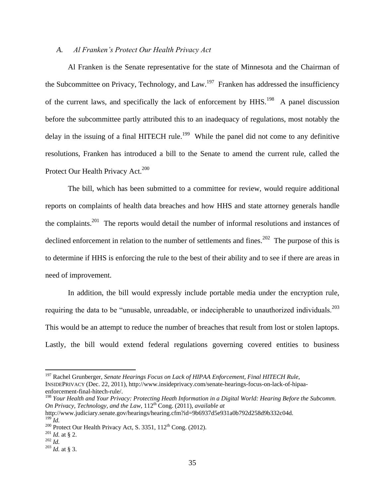# *A. Al Franken's Protect Our Health Privacy Act*

Al Franken is the Senate representative for the state of Minnesota and the Chairman of the Subcommittee on Privacy, Technology, and Law.<sup>197</sup> Franken has addressed the insufficiency of the current laws, and specifically the lack of enforcement by  $HHS$ .<sup>198</sup> A panel discussion before the subcommittee partly attributed this to an inadequacy of regulations, most notably the delay in the issuing of a final HITECH rule.<sup>199</sup> While the panel did not come to any definitive resolutions, Franken has introduced a bill to the Senate to amend the current rule, called the Protect Our Health Privacy Act.<sup>200</sup>

The bill, which has been submitted to a committee for review, would require additional reports on complaints of health data breaches and how HHS and state attorney generals handle the complaints.<sup>201</sup> The reports would detail the number of informal resolutions and instances of declined enforcement in relation to the number of settlements and fines.<sup>202</sup> The purpose of this is to determine if HHS is enforcing the rule to the best of their ability and to see if there are areas in need of improvement.

In addition, the bill would expressly include portable media under the encryption rule, requiring the data to be "unusable, unreadable, or indecipherable to unauthorized individuals.<sup>203</sup> This would be an attempt to reduce the number of breaches that result from lost or stolen laptops. Lastly, the bill would extend federal regulations governing covered entities to business

<sup>198</sup> Your Health and Your Privacy: Protecting Heath Information in a Digital World: Hearing Before the Subcomm. *On Privacy, Technology, and the Law, 112<sup>th</sup> Cong. (2011), <i>available at* http://www.judiciary.senate.gov/hearings/hearing.cfm?id=9b6937d5e931a0b792d258d9b332c04d.  $199$ <sup> $-$ </sup>*Id.* 

<sup>197</sup> Rachel Grunberger, *Senate Hearings Focus on Lack of HIPAA Enforcement, Final HITECH Rule*, INSIDEPRIVACY (Dec. 22, 2011), http://www.insideprivacy.com/senate-hearings-focus-on-lack-of-hipaaenforcement-final-hitech-rule/.

<sup>&</sup>lt;sup>200</sup> Protect Our Health Privacy Act, S. 3351,  $112<sup>th</sup>$  Cong. (2012).

<sup>201</sup> *Id.* at § 2.

<sup>202</sup> *Id.* 

<sup>203</sup> *Id.* at § 3.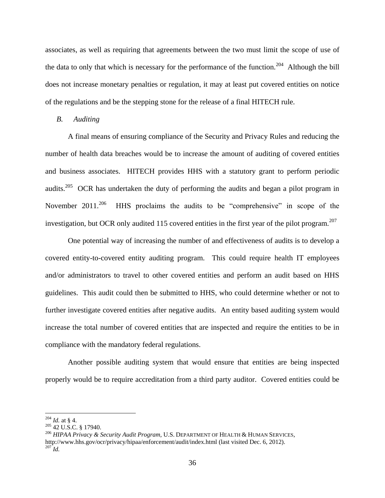associates, as well as requiring that agreements between the two must limit the scope of use of the data to only that which is necessary for the performance of the function.<sup>204</sup> Although the bill does not increase monetary penalties or regulation, it may at least put covered entities on notice of the regulations and be the stepping stone for the release of a final HITECH rule.

#### *B. Auditing*

A final means of ensuring compliance of the Security and Privacy Rules and reducing the number of health data breaches would be to increase the amount of auditing of covered entities and business associates. HITECH provides HHS with a statutory grant to perform periodic audits.<sup>205</sup> OCR has undertaken the duty of performing the audits and began a pilot program in November  $2011^{206}$  HHS proclaims the audits to be "comprehensive" in scope of the investigation, but OCR only audited 115 covered entities in the first year of the pilot program.<sup>207</sup>

One potential way of increasing the number of and effectiveness of audits is to develop a covered entity-to-covered entity auditing program. This could require health IT employees and/or administrators to travel to other covered entities and perform an audit based on HHS guidelines. This audit could then be submitted to HHS, who could determine whether or not to further investigate covered entities after negative audits. An entity based auditing system would increase the total number of covered entities that are inspected and require the entities to be in compliance with the mandatory federal regulations.

Another possible auditing system that would ensure that entities are being inspected properly would be to require accreditation from a third party auditor. Covered entities could be

<sup>204</sup> *Id.* at § 4.

 $205$  42 U.S.C. § 17940.

<sup>206</sup> *HIPAA Privacy & Security Audit Program*, U.S. DEPARTMENT OF HEALTH & HUMAN SERVICES, http://www.hhs.gov/ocr/privacy/hipaa/enforcement/audit/index.html (last visited Dec. 6, 2012). <sup>207</sup> *Id.*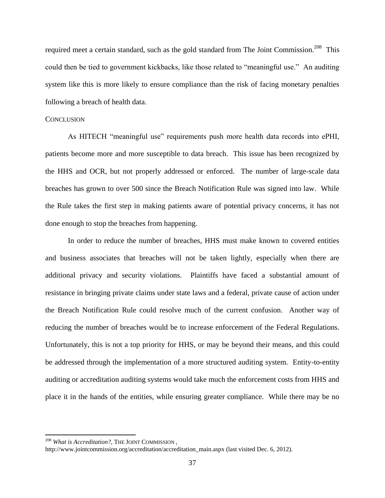required meet a certain standard, such as the gold standard from The Joint Commission.<sup>208</sup> This could then be tied to government kickbacks, like those related to "meaningful use." An auditing system like this is more likely to ensure compliance than the risk of facing monetary penalties following a breach of health data.

#### **CONCLUSION**

As HITECH "meaningful use" requirements push more health data records into ePHI, patients become more and more susceptible to data breach. This issue has been recognized by the HHS and OCR, but not properly addressed or enforced. The number of large-scale data breaches has grown to over 500 since the Breach Notification Rule was signed into law. While the Rule takes the first step in making patients aware of potential privacy concerns, it has not done enough to stop the breaches from happening.

In order to reduce the number of breaches, HHS must make known to covered entities and business associates that breaches will not be taken lightly, especially when there are additional privacy and security violations. Plaintiffs have faced a substantial amount of resistance in bringing private claims under state laws and a federal, private cause of action under the Breach Notification Rule could resolve much of the current confusion. Another way of reducing the number of breaches would be to increase enforcement of the Federal Regulations. Unfortunately, this is not a top priority for HHS, or may be beyond their means, and this could be addressed through the implementation of a more structured auditing system. Entity-to-entity auditing or accreditation auditing systems would take much the enforcement costs from HHS and place it in the hands of the entities, while ensuring greater compliance. While there may be no

<sup>208</sup> *What is Accreditation?*, THE JOINT COMMISSION ,

http://www.jointcommission.org/accreditation/accreditation\_main.aspx (last visited Dec. 6, 2012).